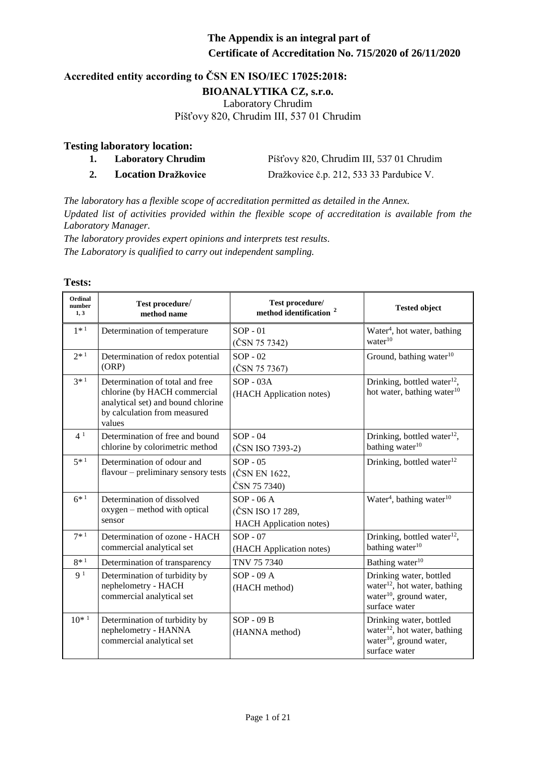#### **Accredited entity according to ČSN EN ISO/IEC 17025:2018: BIOANALYTIKA CZ, s.r.o.** Laboratory Chrudim Píšťovy 820, Chrudim III, 537 01 Chrudim

#### **Testing laboratory location:**

- **1. Laboratory Chrudim** Píšťovy 820, Chrudim III, 537 01 Chrudim
- 

**2. Location Dražkovice** Dražkovice č.p. 212, 533 33 Pardubice V.

*The laboratory has a flexible scope of accreditation permitted as detailed in the Annex. Updated list of activities provided within the flexible scope of accreditation is available from the Laboratory Manager.*

*The laboratory provides expert opinions and interprets test results. The Laboratory is qualified to carry out independent sampling.*

| <b>Ordinal</b><br>number<br>1, 3 | Test procedure/<br>method name                                                                                                                  | Test procedure/<br>method identification <sup>2</sup>             | <b>Tested object</b>                                                                                                        |
|----------------------------------|-------------------------------------------------------------------------------------------------------------------------------------------------|-------------------------------------------------------------------|-----------------------------------------------------------------------------------------------------------------------------|
| $1 * 1$                          | Determination of temperature                                                                                                                    | $SOP - 01$<br>(ČSN 75 7342)                                       | Water <sup>4</sup> , hot water, bathing<br>water <sup>10</sup>                                                              |
| $2*1$                            | Determination of redox potential<br>(ORP)                                                                                                       | $SOP - 02$<br>(ČSN 75 7367)                                       | Ground, bathing water <sup>10</sup>                                                                                         |
| $3*1$                            | Determination of total and free<br>chlorine (by HACH commercial<br>analytical set) and bound chlorine<br>by calculation from measured<br>values | $SOP - 03A$<br>(HACH Application notes)                           | Drinking, bottled water $^{12}$ ,<br>hot water, bathing water <sup>10</sup>                                                 |
| 4 <sup>1</sup>                   | Determination of free and bound<br>chlorine by colorimetric method                                                                              | $SOP - 04$<br>(ČSN ISO 7393-2)                                    | Drinking, bottled water <sup>12</sup> ,<br>bathing water <sup>10</sup>                                                      |
| $5*1$                            | Determination of odour and<br>flavour – preliminary sensory tests                                                                               | $SOP - 05$<br>(ČSN EN 1622,<br>ČSN 75 7340)                       | Drinking, bottled water <sup>12</sup>                                                                                       |
| $6^{*1}$                         | Determination of dissolved<br>oxygen – method with optical<br>sensor                                                                            | $SOP - 06A$<br>(ČSN ISO 17 289,<br><b>HACH</b> Application notes) | Water <sup>4</sup> , bathing water <sup>10</sup>                                                                            |
| $7 * 1$                          | Determination of ozone - HACH<br>commercial analytical set                                                                                      | $SOP - 07$<br>(HACH Application notes)                            | Drinking, bottled water $^{12}$ ,<br>bathing water <sup>10</sup>                                                            |
| $8*1$                            | Determination of transparency                                                                                                                   | TNV 75 7340                                                       | Bathing water <sup>10</sup>                                                                                                 |
| 9 <sup>1</sup>                   | Determination of turbidity by<br>nephelometry - HACH<br>commercial analytical set                                                               | $SOP - 09A$<br>(HACH method)                                      | Drinking water, bottled<br>water <sup>12</sup> , hot water, bathing<br>water <sup>10</sup> , ground water,<br>surface water |
| $10^{*1}$                        | Determination of turbidity by<br>nephelometry - HANNA<br>commercial analytical set                                                              | $SOP - O9B$<br>(HANNA method)                                     | Drinking water, bottled<br>water <sup>12</sup> , hot water, bathing<br>water <sup>10</sup> , ground water,<br>surface water |

#### **Tests:**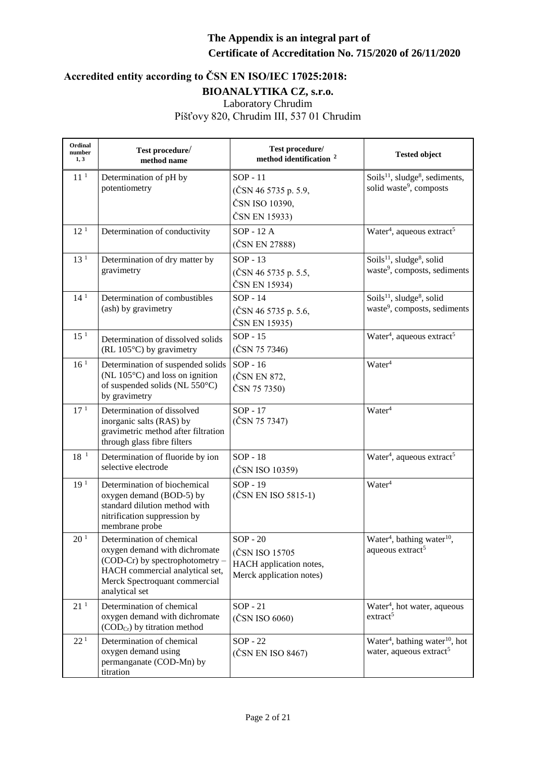| Ordinal<br>number<br>1, 3 | Test procedure/<br>method name                                                                                                                                                      | Test procedure/<br>method identification <sup>2</sup>                               | <b>Tested object</b>                                                                          |
|---------------------------|-------------------------------------------------------------------------------------------------------------------------------------------------------------------------------------|-------------------------------------------------------------------------------------|-----------------------------------------------------------------------------------------------|
| 11 <sup>1</sup>           | Determination of pH by<br>potentiometry                                                                                                                                             | $SOP - 11$<br>(ČSN 46 5735 p. 5.9,<br>ČSN ISO 10390,<br>ČSN EN 15933)               | Soils <sup>11</sup> , sludge <sup>8</sup> , sediments,<br>solid waste <sup>9</sup> , composts |
| 12 <sup>1</sup>           | Determination of conductivity                                                                                                                                                       | SOP - 12 A<br>(ČSN EN 27888)                                                        | Water <sup>4</sup> , aqueous extract <sup>5</sup>                                             |
| 13 <sup>1</sup>           | Determination of dry matter by<br>gravimetry                                                                                                                                        | $SOP - 13$<br>(ČSN 46 5735 p. 5.5,<br>ČSN EN 15934)                                 | Soils $^{11}$ , sludge <sup>8</sup> , solid<br>waste <sup>9</sup> , composts, sediments       |
| 14 <sup>1</sup>           | Determination of combustibles<br>(ash) by gravimetry                                                                                                                                | $SOP - 14$<br>(ČSN 46 5735 p. 5.6,<br>ČSN EN 15935)                                 | Soils <sup>11</sup> , sludge <sup>8</sup> , solid<br>waste <sup>9</sup> , composts, sediments |
| 15 <sup>1</sup>           | Determination of dissolved solids<br>(RL 105°C) by gravimetry                                                                                                                       | $SOP - 15$<br>(ČSN 75 7346)                                                         | Water <sup>4</sup> , aqueous extract <sup>5</sup>                                             |
| 16 <sup>1</sup>           | Determination of suspended solids<br>(NL $105^{\circ}$ C) and loss on ignition<br>of suspended solids (NL 550°C)<br>by gravimetry                                                   | $SOP - 16$<br>(ČSN EN 872,<br>ČSN 75 7350)                                          | Water <sup>4</sup>                                                                            |
| 17 <sup>1</sup>           | Determination of dissolved<br>inorganic salts (RAS) by<br>gravimetric method after filtration<br>through glass fibre filters                                                        | $SOP - 17$<br>(ČSN 75 7347)                                                         | Water <sup>4</sup>                                                                            |
| $18^{-1}$                 | Determination of fluoride by ion<br>selective electrode                                                                                                                             | $SOP - 18$<br>(ČSN ISO 10359)                                                       | Water <sup>4</sup> , aqueous extract <sup>5</sup>                                             |
| 19 <sup>1</sup>           | Determination of biochemical<br>oxygen demand (BOD-5) by<br>standard dilution method with<br>nitrification suppression by<br>membrane probe                                         | $SOP - 19$<br>(ČSN EN ISO 5815-1)                                                   | Water <sup>4</sup>                                                                            |
| 20 <sup>1</sup>           | Determination of chemical<br>oxygen demand with dichromate<br>(COD-Cr) by spectrophotometry -<br>HACH commercial analytical set,<br>Merck Spectroquant commercial<br>analytical set | $SOP - 20$<br>(ČSN ISO 15705<br>HACH application notes,<br>Merck application notes) | Water <sup>4</sup> , bathing water <sup>10</sup> ,<br>aqueous extract <sup>5</sup>            |
| 21 <sup>1</sup>           | Determination of chemical<br>oxygen demand with dichromate<br>$(CODCr)$ by titration method                                                                                         | $SOP - 21$<br>(ČSN ISO 6060)                                                        | Water <sup>4</sup> , hot water, aqueous<br>extract <sup>5</sup>                               |
| $22\,^1$                  | Determination of chemical<br>oxygen demand using<br>permanganate (COD-Mn) by<br>titration                                                                                           | $SOP - 22$<br>(ČSN EN ISO 8467)                                                     | Water <sup>4</sup> , bathing water <sup>10</sup> , hot<br>water, aqueous extract <sup>5</sup> |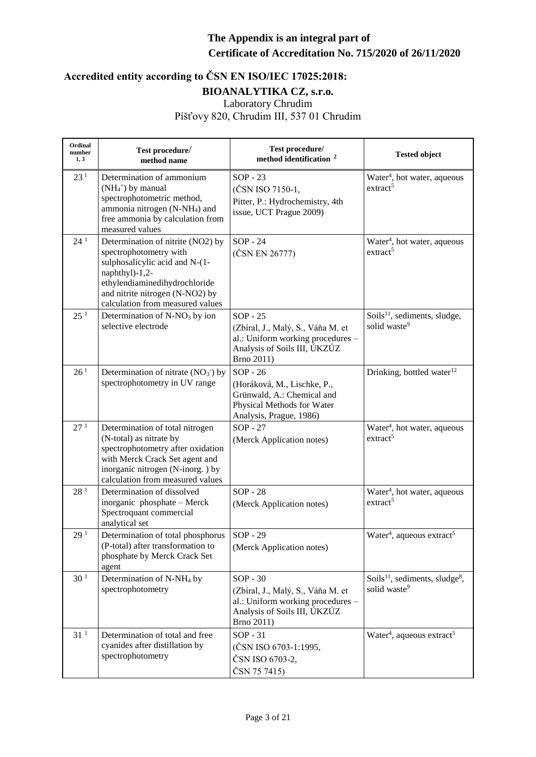| Ordinal<br>number<br>1, 3 | Test procedure/<br>method name                                                                                                                                                                                          | Test procedure/<br>method identification <sup>2</sup>                                                                              | <b>Tested object</b>                                                               |
|---------------------------|-------------------------------------------------------------------------------------------------------------------------------------------------------------------------------------------------------------------------|------------------------------------------------------------------------------------------------------------------------------------|------------------------------------------------------------------------------------|
| 23 <sup>1</sup>           | Determination of ammonium<br>(NH <sub>4</sub> +) by manual<br>spectrophotometric method,<br>ammonia nitrogen (N-NH <sub>4</sub> ) and<br>free ammonia by calculation from<br>measured values                            | $SOP - 23$<br>(ČSN ISO 7150-1,<br>Pitter, P.: Hydrochemistry, 4th<br>issue, UCT Prague 2009)                                       | Water <sup>4</sup> , hot water, aqueous<br>extract <sup>5</sup>                    |
| 24 <sup>1</sup>           | Determination of nitrite (NO2) by<br>spectrophotometry with<br>sulphosalicylic acid and N-(1-<br>naphthyl)-1,2-<br>ethylendiaminedihydrochloride<br>and nitrite nitrogen (N-NO2) by<br>calculation from measured values | $SOP - 24$<br>(ČSN EN 26777)                                                                                                       | Water <sup>4</sup> , hot water, aqueous<br>extract <sup>5</sup>                    |
| 25 <sup>1</sup>           | Determination of $N-NO3$ by ion<br>selective electrode                                                                                                                                                                  | $SOP - 25$<br>(Zbíral, J., Malý, S., Váňa M. et<br>al.: Uniform working procedures -<br>Analysis of Soils III, ÚKZÚZ<br>Brno 2011) | Soils <sup>11</sup> , sediments, sludge,<br>solid waste <sup>9</sup>               |
| 26 <sup>1</sup>           | Determination of nitrate $(NO3)$ by<br>spectrophotometry in UV range                                                                                                                                                    | $SOP - 26$<br>(Horáková, M., Lischke, P.,<br>Grünwald, A.: Chemical and<br>Physical Methods for Water<br>Analysis, Prague, 1986)   | Drinking, bottled water <sup>12</sup>                                              |
| 27 <sup>1</sup>           | Determination of total nitrogen<br>(N-total) as nitrate by<br>spectrophotometry after oxidation<br>with Merck Crack Set agent and<br>inorganic nitrogen (N-inorg.) by<br>calculation from measured values               | $SOP - 27$<br>(Merck Application notes)                                                                                            | Water <sup>4</sup> , hot water, aqueous<br>extract <sup>5</sup>                    |
| 28 <sup>1</sup>           | Determination of dissolved<br>inorganic phosphate - Merck<br>Spectroquant commercial<br>analytical set                                                                                                                  | $SOP - 28$<br>(Merck Application notes)                                                                                            | Water <sup>4</sup> , hot water, aqueous<br>extract <sup>5</sup>                    |
| 29 <sup>1</sup>           | Determination of total phosphorus<br>(P-total) after transformation to<br>phosphate by Merck Crack Set<br>agent                                                                                                         | SOP - 29<br>(Merck Application notes)                                                                                              | Water <sup>4</sup> , aqueous extract <sup>5</sup>                                  |
| 30 <sup>1</sup>           | Determination of N-NH <sub>4</sub> by<br>spectrophotometry                                                                                                                                                              | $SOP - 30$<br>(Zbíral, J., Malý, S., Váňa M. et<br>al.: Uniform working procedures -<br>Analysis of Soils III, UKZUZ<br>Brno 2011) | Soils <sup>11</sup> , sediments, sludge <sup>8</sup> ,<br>solid waste <sup>9</sup> |
| $31\,^1$                  | Determination of total and free<br>cyanides after distillation by<br>spectrophotometry                                                                                                                                  | $SOP - 31$<br>(ČSN ISO 6703-1:1995,<br>ČSN ISO 6703-2,<br>ČSN 75 7415)                                                             | Water <sup>4</sup> , aqueous extract <sup>5</sup>                                  |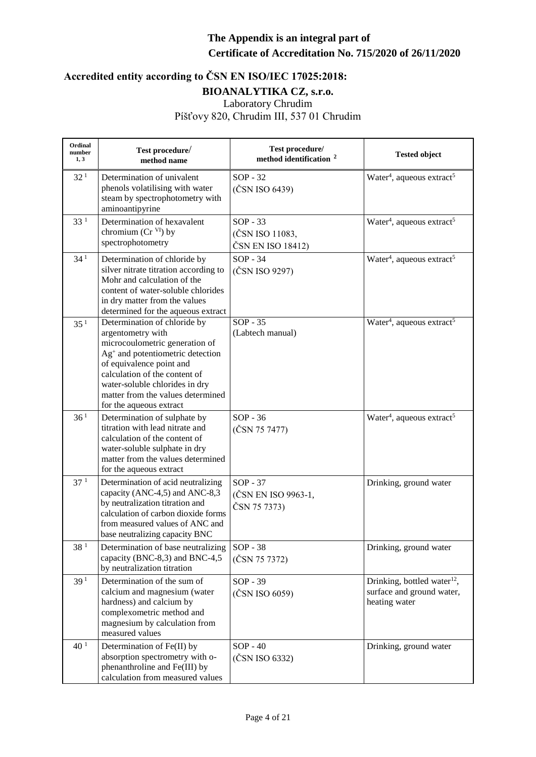| Ordinal<br>number<br>1, 3 | Test procedure/<br>method name                                                                                                                                                                                                                                                           | Test procedure/<br>method identification <sup>2</sup> | <b>Tested object</b>                                                                  |
|---------------------------|------------------------------------------------------------------------------------------------------------------------------------------------------------------------------------------------------------------------------------------------------------------------------------------|-------------------------------------------------------|---------------------------------------------------------------------------------------|
| 32 <sup>1</sup>           | Determination of univalent<br>phenols volatilising with water<br>steam by spectrophotometry with<br>aminoantipyrine                                                                                                                                                                      | $SOP - 32$<br>(ČSN ISO 6439)                          | Water <sup>4</sup> , aqueous extract <sup>5</sup>                                     |
| 33 <sup>1</sup>           | Determination of hexavalent<br>chromium $(Cr^{VI})$ by<br>spectrophotometry                                                                                                                                                                                                              | $SOP - 33$<br>(ČSN ISO 11083,<br>ČSN EN ISO 18412)    | Water <sup>4</sup> , aqueous extract <sup>5</sup>                                     |
| 34 <sup>1</sup>           | Determination of chloride by<br>silver nitrate titration according to<br>Mohr and calculation of the<br>content of water-soluble chlorides<br>in dry matter from the values<br>determined for the aqueous extract                                                                        | $SOP - 34$<br>(ČSN ISO 9297)                          | Water <sup>4</sup> , aqueous extract <sup>5</sup>                                     |
| 35 <sup>1</sup>           | Determination of chloride by<br>argentometry with<br>microcoulometric generation of<br>$Ag+$ and potentiometric detection<br>of equivalence point and<br>calculation of the content of<br>water-soluble chlorides in dry<br>matter from the values determined<br>for the aqueous extract | $SOP - 35$<br>(Labtech manual)                        | Water <sup>4</sup> , aqueous extract <sup>5</sup>                                     |
| 36 <sup>1</sup>           | Determination of sulphate by<br>titration with lead nitrate and<br>calculation of the content of<br>water-soluble sulphate in dry<br>matter from the values determined<br>for the aqueous extract                                                                                        | $SOP - 36$<br>(ČSN 75 7477)                           | Water <sup>4</sup> , aqueous extract <sup>5</sup>                                     |
| 37 <sup>1</sup>           | Determination of acid neutralizing<br>capacity (ANC-4,5) and ANC-8,3<br>by neutralization titration and<br>calculation of carbon dioxide forms<br>from measured values of ANC and<br>base neutralizing capacity BNC                                                                      | $SOP - 37$<br>(ČSN EN ISO 9963-1,<br>ČSN 75 7373)     | Drinking, ground water                                                                |
| 38 <sup>1</sup>           | Determination of base neutralizing<br>capacity (BNC-8,3) and BNC-4,5<br>by neutralization titration                                                                                                                                                                                      | SOP - 38<br>(ČSN 75 7372)                             | Drinking, ground water                                                                |
| 39 <sup>1</sup>           | Determination of the sum of<br>calcium and magnesium (water<br>hardness) and calcium by<br>complexometric method and<br>magnesium by calculation from<br>measured values                                                                                                                 | $SOP - 39$<br>(ČSN ISO 6059)                          | Drinking, bottled water <sup>12</sup> ,<br>surface and ground water,<br>heating water |
| 40 <sup>1</sup>           | Determination of Fe(II) by<br>absorption spectrometry with o-<br>phenanthroline and Fe(III) by<br>calculation from measured values                                                                                                                                                       | $SOP - 40$<br>(ČSN ISO 6332)                          | Drinking, ground water                                                                |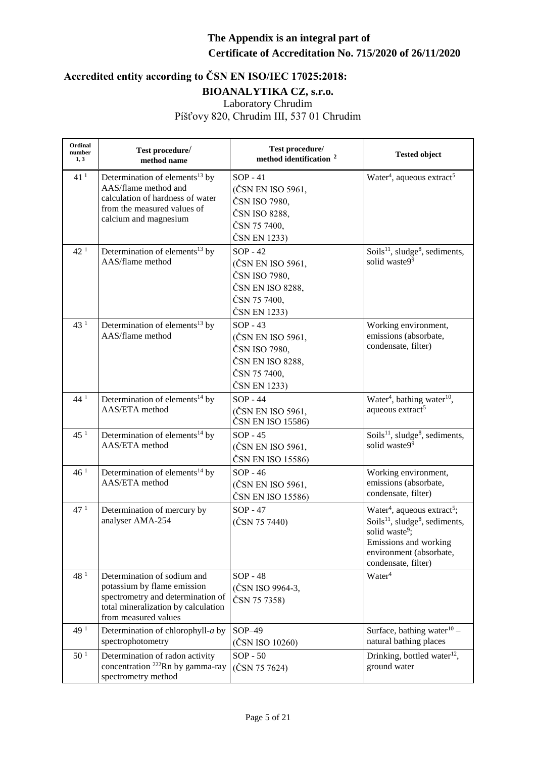| Ordinal<br>number<br>1, 3 | Test procedure/<br>method name                                                                                                                                 | Test procedure/<br>method identification <sup>2</sup>                                                | <b>Tested object</b>                                                                                                                                                                                                   |
|---------------------------|----------------------------------------------------------------------------------------------------------------------------------------------------------------|------------------------------------------------------------------------------------------------------|------------------------------------------------------------------------------------------------------------------------------------------------------------------------------------------------------------------------|
| 41 <sup>1</sup>           | Determination of elements <sup>13</sup> by<br>AAS/flame method and<br>calculation of hardness of water<br>from the measured values of<br>calcium and magnesium | $SOP - 41$<br>(ČSN EN ISO 5961,<br>ČSN ISO 7980,<br>ČSN ISO 8288,<br>ČSN 75 7400,<br>ČSN EN 1233)    | Water <sup>4</sup> , aqueous extract <sup>5</sup>                                                                                                                                                                      |
| 42 <sup>1</sup>           | Determination of elements <sup>13</sup> by<br>AAS/flame method                                                                                                 | $SOP - 42$<br>(ČSN EN ISO 5961,<br>ČSN ISO 7980,<br>ČSN EN ISO 8288,<br>ČSN 75 7400,<br>ČSN EN 1233) | Soils <sup>11</sup> , sludge <sup>8</sup> , sediments,<br>solid waste99                                                                                                                                                |
| 43 <sup>1</sup>           | Determination of elements <sup>13</sup> by<br>AAS/flame method                                                                                                 | $SOP - 43$<br>(ČSN EN ISO 5961,<br>ČSN ISO 7980,<br>ČSN EN ISO 8288,<br>ČSN 75 7400,<br>ČSN EN 1233) | Working environment,<br>emissions (absorbate,<br>condensate, filter)                                                                                                                                                   |
| 44 <sup>1</sup>           | Determination of elements <sup>14</sup> by<br>AAS/ETA method                                                                                                   | $SOP - 44$<br>(ČSN EN ISO 5961,<br>ČSN EN ISO 15586)                                                 | Water <sup>4</sup> , bathing water <sup>10</sup> ,<br>aqueous extract <sup>5</sup>                                                                                                                                     |
| 45 <sup>1</sup>           | Determination of elements <sup>14</sup> by<br>AAS/ETA method                                                                                                   | $SOP - 45$<br>(ČSN EN ISO 5961,<br>ČSN EN ISO 15586)                                                 | Soils $^{11}$ , sludge <sup>8</sup> , sediments,<br>solid waste99                                                                                                                                                      |
| 46 <sup>1</sup>           | Determination of elements <sup>14</sup> by<br>AAS/ETA method                                                                                                   | $SOP - 46$<br>(ČSN EN ISO 5961,<br>ČSN EN ISO 15586)                                                 | Working environment,<br>emissions (absorbate,<br>condensate, filter)                                                                                                                                                   |
| 47 <sup>1</sup>           | Determination of mercury by<br>analyser AMA-254                                                                                                                | $SOP - 47$<br>(ČSN 75 7440)                                                                          | Water <sup>4</sup> , aqueous extract <sup>5</sup> ;<br>Soils <sup>11</sup> , sludge <sup>8</sup> , sediments,<br>solid waste <sup>9</sup> ;<br>Emissions and working<br>environment (absorbate,<br>condensate, filter) |
| 48 <sup>1</sup>           | Determination of sodium and<br>potassium by flame emission<br>spectrometry and determination of<br>total mineralization by calculation<br>from measured values | <b>SOP - 48</b><br>(ČSN ISO 9964-3,<br>ČSN 75 7358)                                                  | Water <sup>4</sup>                                                                                                                                                                                                     |
| 49 <sup>1</sup>           | Determination of chlorophyll-a by<br>spectrophotometry                                                                                                         | $SOP-49$<br>(ČSN ISO 10260)                                                                          | Surface, bathing water $10 -$<br>natural bathing places                                                                                                                                                                |
| 50 <sup>1</sup>           | Determination of radon activity<br>concentration <sup>222</sup> Rn by gamma-ray<br>spectrometry method                                                         | $SOP - 50$<br>(ČSN 75 7624)                                                                          | Drinking, bottled water <sup>12</sup> ,<br>ground water                                                                                                                                                                |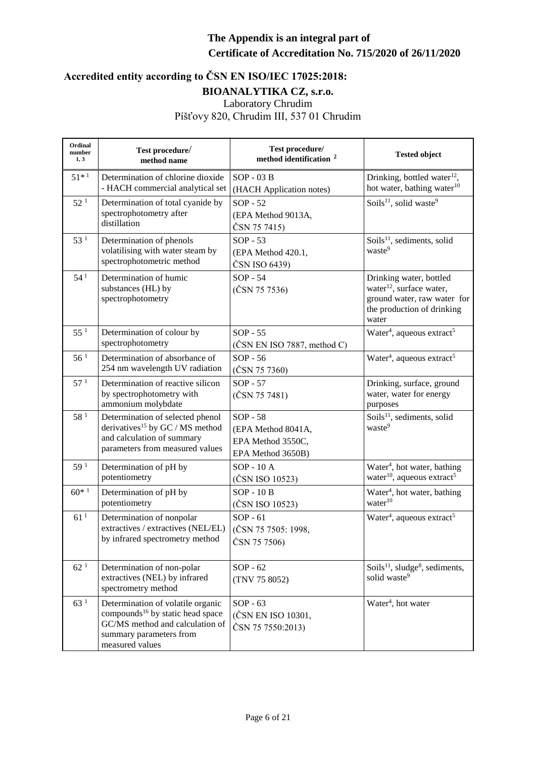| Ordinal<br>number<br>1, 3 | Test procedure/<br>method name                                                                                                                                     | Test procedure/<br>method identification <sup>2</sup>                      | <b>Tested object</b>                                                                                                                  |
|---------------------------|--------------------------------------------------------------------------------------------------------------------------------------------------------------------|----------------------------------------------------------------------------|---------------------------------------------------------------------------------------------------------------------------------------|
| $51*1$                    | Determination of chlorine dioxide<br>- HACH commercial analytical set                                                                                              | $SOP - 03B$<br>(HACH Application notes)                                    | Drinking, bottled water <sup>12</sup> ,<br>hot water, bathing water <sup>10</sup>                                                     |
| 52 <sup>1</sup>           | Determination of total cyanide by<br>spectrophotometry after<br>distillation                                                                                       | $SOP - 52$<br>(EPA Method 9013A,<br>ČSN 75 7415)                           | Soils <sup>11</sup> , solid waste <sup>9</sup>                                                                                        |
| 53 <sup>1</sup>           | Determination of phenols<br>volatilising with water steam by<br>spectrophotometric method                                                                          | $SOP - 53$<br>(EPA Method 420.1,<br>ČSN ISO 6439)                          | Soils <sup>11</sup> , sediments, solid<br>waste <sup>9</sup>                                                                          |
| 54 <sup>1</sup>           | Determination of humic<br>substances (HL) by<br>spectrophotometry                                                                                                  | SOP - 54<br>(ČSN 75 7536)                                                  | Drinking water, bottled<br>water <sup>12</sup> , surface water,<br>ground water, raw water for<br>the production of drinking<br>water |
| $55^1$                    | Determination of colour by<br>spectrophotometry                                                                                                                    | $SOP - 55$<br>$(\text{ČSN EN ISO }7887, \text{ method } C)$                | Water <sup>4</sup> , aqueous extract <sup>5</sup>                                                                                     |
| 56 <sup>1</sup>           | Determination of absorbance of<br>254 nm wavelength UV radiation                                                                                                   | $SOP - 56$<br>(ČSN 75 7360)                                                | Water <sup>4</sup> , aqueous extract <sup>5</sup>                                                                                     |
| 57 <sup>1</sup>           | Determination of reactive silicon<br>by spectrophotometry with<br>ammonium molybdate                                                                               | $SOP - 57$<br>(ČSN 75 7481)                                                | Drinking, surface, ground<br>water, water for energy<br>purposes                                                                      |
| 58 <sup>1</sup>           | Determination of selected phenol<br>derivatives <sup>15</sup> by GC / MS method<br>and calculation of summary<br>parameters from measured values                   | $SOP - 58$<br>(EPA Method 8041A,<br>EPA Method 3550C,<br>EPA Method 3650B) | Soils <sup>11</sup> , sediments, solid<br>waste <sup>9</sup>                                                                          |
| 59 <sup>1</sup>           | Determination of pH by<br>potentiometry                                                                                                                            | $SOP - 10A$<br>(ČSN ISO 10523)                                             | Water <sup>4</sup> , hot water, bathing<br>water <sup>10</sup> , aqueous extract <sup>5</sup>                                         |
| $60*1$                    | Determination of pH by<br>potentiometry                                                                                                                            | $SOP - 10B$<br>(ČSN ISO 10523)                                             | Water <sup>4</sup> , hot water, bathing<br>water <sup>10</sup>                                                                        |
| 61 <sup>1</sup>           | Determination of nonpolar<br>extractives / extractives (NEL/EL)<br>by infrared spectrometry method                                                                 | $SOP - 61$<br>(ČSN 75 7505: 1998,<br>ČSN 75 7506)                          | Water <sup>4</sup> , aqueous extract <sup>5</sup>                                                                                     |
| 62 <sup>1</sup>           | Determination of non-polar<br>extractives (NEL) by infrared<br>spectrometry method                                                                                 | $SOP - 62$<br>(TNV 75 8052)                                                | Soils <sup>11</sup> , sludge <sup>8</sup> , sediments,<br>solid waste <sup>9</sup>                                                    |
| 63 <sup>1</sup>           | Determination of volatile organic<br>compounds <sup>16</sup> by static head space<br>GC/MS method and calculation of<br>summary parameters from<br>measured values | $SOP - 63$<br>(ČSN EN ISO 10301,<br>ČSN 75 7550:2013)                      | Water <sup>4</sup> , hot water                                                                                                        |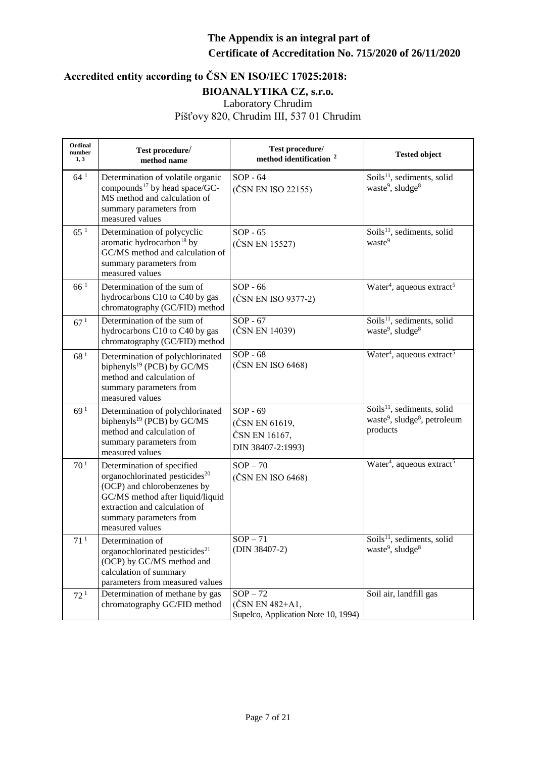| Ordinal<br>number<br>1, 3 | Test procedure/<br>method name                                                                                                                                                                                             | Test procedure/<br>method identification <sup>2</sup>                | <b>Tested object</b>                                                                                       |
|---------------------------|----------------------------------------------------------------------------------------------------------------------------------------------------------------------------------------------------------------------------|----------------------------------------------------------------------|------------------------------------------------------------------------------------------------------------|
| 64 <sup>1</sup>           | Determination of volatile organic<br>compounds <sup>17</sup> by head space/GC-<br>MS method and calculation of<br>summary parameters from<br>measured values                                                               | $SOP - 64$<br>(ČSN EN ISO 22155)                                     | Soils <sup>11</sup> , sediments, solid<br>waste <sup>9</sup> , sludge <sup>8</sup>                         |
| 65 <sup>1</sup>           | Determination of polycyclic<br>aromatic hydrocarbon <sup>18</sup> by<br>GC/MS method and calculation of<br>summary parameters from<br>measured values                                                                      | $SOP - 65$<br>(ČSN EN 15527)                                         | Soils <sup>11</sup> , sediments, solid<br>waste <sup>9</sup>                                               |
| 66 <sup>1</sup>           | Determination of the sum of<br>hydrocarbons C10 to C40 by gas<br>chromatography (GC/FID) method                                                                                                                            | $SOP - 66$<br>(ČSN EN ISO 9377-2)                                    | Water <sup>4</sup> , aqueous extract <sup>5</sup>                                                          |
| 67 <sup>1</sup>           | Determination of the sum of<br>hydrocarbons C10 to C40 by gas<br>chromatography (GC/FID) method                                                                                                                            | $SOP - 67$<br>(ČSN EN 14039)                                         | Soils <sup>11</sup> , sediments, solid<br>waste <sup>9</sup> , sludge <sup>8</sup>                         |
| 68 <sup>1</sup>           | Determination of polychlorinated<br>biphenyls <sup>19</sup> (PCB) by GC/MS<br>method and calculation of<br>summary parameters from<br>measured values                                                                      | $SOP - 68$<br>(ČSN EN ISO 6468)                                      | Water <sup>4</sup> , aqueous extract <sup>5</sup>                                                          |
| 69 <sup>1</sup>           | Determination of polychlorinated<br>biphenyls <sup>19</sup> (PCB) by GC/MS<br>method and calculation of<br>summary parameters from<br>measured values                                                                      | $SOP - 69$<br>(ČSN EN 61619,<br>ČSN EN 16167,<br>DIN 38407-2:1993)   | Soils <sup>11</sup> , sediments, solid<br>waste <sup>9</sup> , sludge <sup>8</sup> , petroleum<br>products |
| 70 <sup>1</sup>           | Determination of specified<br>organochlorinated pesticides <sup>20</sup><br>(OCP) and chlorobenzenes by<br>GC/MS method after liquid/liquid<br>extraction and calculation of<br>summary parameters from<br>measured values | $SOP - 70$<br>(ČSN EN ISO 6468)                                      | Water <sup>4</sup> , aqueous extract <sup>5</sup>                                                          |
| 71 <sup>1</sup>           | Determination of<br>organochlorinated pesticides <sup>21</sup><br>(OCP) by GC/MS method and<br>calculation of summary<br>parameters from measured values                                                                   | $SOP - 71$<br>(DIN 38407-2)                                          | Soils $^{11}$ , sediments, solid<br>waste <sup>9</sup> , sludge <sup>8</sup>                               |
| 72 <sup>1</sup>           | Determination of methane by gas<br>chromatography GC/FID method                                                                                                                                                            | $SOP - 72$<br>(ČSN EN 482+A1,<br>Supelco, Application Note 10, 1994) | Soil air, landfill gas                                                                                     |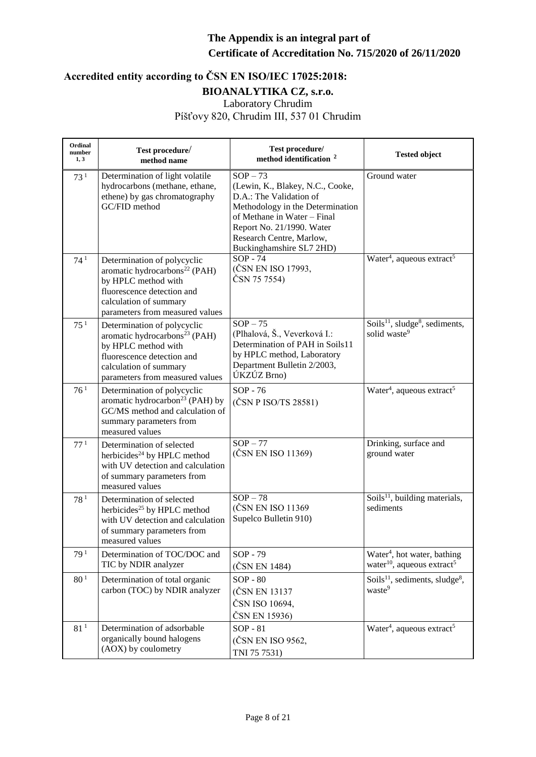| Ordinal<br>number<br>1, 3 | Test procedure/<br>method name                                                                                                                                                             | Test procedure/<br>method identification <sup>2</sup>                                                                                                                                                                             | <b>Tested object</b>                                                                          |
|---------------------------|--------------------------------------------------------------------------------------------------------------------------------------------------------------------------------------------|-----------------------------------------------------------------------------------------------------------------------------------------------------------------------------------------------------------------------------------|-----------------------------------------------------------------------------------------------|
| 73 <sup>1</sup>           | Determination of light volatile<br>hydrocarbons (methane, ethane,<br>ethene) by gas chromatography<br>GC/FID method                                                                        | $SOP - 73$<br>(Lewin, K., Blakey, N.C., Cooke,<br>D.A.: The Validation of<br>Methodology in the Determination<br>of Methane in Water - Final<br>Report No. 21/1990. Water<br>Research Centre, Marlow,<br>Buckinghamshire SL7 2HD) | Ground water                                                                                  |
| 74 <sup>1</sup>           | Determination of polycyclic<br>aromatic hydrocarbons <sup>22</sup> (PAH)<br>by HPLC method with<br>fluorescence detection and<br>calculation of summary<br>parameters from measured values | $SOP - 74$<br>(ČSN EN ISO 17993,<br>ČSN 75 7554)                                                                                                                                                                                  | Water <sup>4</sup> , aqueous extract <sup>5</sup>                                             |
| 75 <sup>1</sup>           | Determination of polycyclic<br>aromatic hydrocarbons <sup>23</sup> (PAH)<br>by HPLC method with<br>fluorescence detection and<br>calculation of summary<br>parameters from measured values | $SOP - 75$<br>(Plhalová, Š., Veverková I.:<br>Determination of PAH in Soils11<br>by HPLC method, Laboratory<br>Department Bulletin 2/2003,<br>ÚKZÚZ Brno)                                                                         | Soils <sup>11</sup> , sludge <sup>8</sup> , sediments,<br>solid waste <sup>9</sup>            |
| 76 <sup>1</sup>           | Determination of polycyclic<br>aromatic hydrocarbon <sup>23</sup> (PAH) by<br>GC/MS method and calculation of<br>summary parameters from<br>measured values                                | SOP - 76<br>$(\text{ČSN P ISO}/\text{TS }28581)$                                                                                                                                                                                  | Water <sup>4</sup> , aqueous extract <sup>5</sup>                                             |
| 77 <sup>1</sup>           | Determination of selected<br>herbicides <sup>24</sup> by HPLC method<br>with UV detection and calculation<br>of summary parameters from<br>measured values                                 | $SOP - 77$<br>(ČSN EN ISO 11369)                                                                                                                                                                                                  | Drinking, surface and<br>ground water                                                         |
| 78 <sup>1</sup>           | Determination of selected<br>herbicides <sup>25</sup> by HPLC method<br>with UV detection and calculation<br>of summary parameters from<br>measured values                                 | $SOP - 78$<br>(ČSN EN ISO 11369<br>Supelco Bulletin 910)                                                                                                                                                                          | Soils <sup>11</sup> , building materials,<br>sediments                                        |
| 79 <sup>1</sup>           | Determination of TOC/DOC and<br>TIC by NDIR analyzer                                                                                                                                       | SOP - 79<br>(ČSN EN 1484)                                                                                                                                                                                                         | Water <sup>4</sup> , hot water, bathing<br>water <sup>10</sup> , aqueous extract <sup>5</sup> |
| 80 <sup>1</sup>           | Determination of total organic<br>carbon (TOC) by NDIR analyzer                                                                                                                            | $SOP - 80$<br>(ČSN EN 13137<br>ČSN ISO 10694,<br>ČSN EN 15936)                                                                                                                                                                    | Soils <sup>11</sup> , sediments, sludge <sup>8</sup> ,<br>waste <sup>9</sup>                  |
| 81 <sup>1</sup>           | Determination of adsorbable<br>organically bound halogens<br>(AOX) by coulometry                                                                                                           | $SOP - 81$<br>(ČSN EN ISO 9562,<br>TNI 75 7531)                                                                                                                                                                                   | Water <sup>4</sup> , aqueous extract <sup>5</sup>                                             |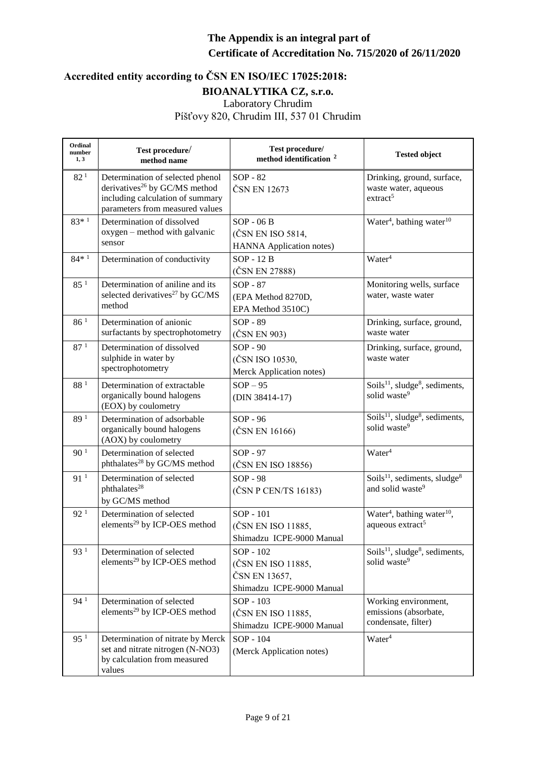| Ordinal<br>number<br>1, 3 | Test procedure/<br>method name                                                                                                                       | Test procedure/<br>method identification <sup>2</sup>                         | <b>Tested object</b>                                                               |
|---------------------------|------------------------------------------------------------------------------------------------------------------------------------------------------|-------------------------------------------------------------------------------|------------------------------------------------------------------------------------|
| 82 <sup>1</sup>           | Determination of selected phenol<br>derivatives <sup>26</sup> by GC/MS method<br>including calculation of summary<br>parameters from measured values | $SOP - 82$<br>ČSN EN 12673                                                    | Drinking, ground, surface,<br>waste water, aqueous<br>extract <sup>5</sup>         |
| $83*1$                    | Determination of dissolved<br>oxygen – method with galvanic<br>sensor                                                                                | $SOP - 06B$<br>(ČSN EN ISO 5814,<br><b>HANNA</b> Application notes)           | Water <sup>4</sup> , bathing water <sup>10</sup>                                   |
| $84*1$                    | Determination of conductivity                                                                                                                        | SOP - 12 B<br>(ČSN EN 27888)                                                  | Water <sup>4</sup>                                                                 |
| 85 <sup>1</sup>           | Determination of aniline and its<br>selected derivatives <sup>27</sup> by GC/MS<br>method                                                            | $SOP - 87$<br>(EPA Method 8270D,<br>EPA Method 3510C)                         | Monitoring wells, surface<br>water, waste water                                    |
| 86 <sup>1</sup>           | Determination of anionic<br>surfactants by spectrophotometry                                                                                         | SOP - 89<br>(ČSN EN 903)                                                      | Drinking, surface, ground,<br>waste water                                          |
| 87 <sup>1</sup>           | Determination of dissolved<br>sulphide in water by<br>spectrophotometry                                                                              | $SOP - 90$<br>(ČSN ISO 10530,<br>Merck Application notes)                     | Drinking, surface, ground,<br>waste water                                          |
| $88\,^1$                  | Determination of extractable<br>organically bound halogens<br>(EOX) by coulometry                                                                    | $SOP - 95$<br>(DIN 38414-17)                                                  | Soils $^{11}$ , sludge <sup>8</sup> , sediments,<br>solid waste <sup>9</sup>       |
| 89 <sup>1</sup>           | Determination of adsorbable<br>organically bound halogens<br>(AOX) by coulometry                                                                     | SOP - 96<br>(ČSN EN 16166)                                                    | Soils <sup>11</sup> , sludge <sup>8</sup> , sediments,<br>solid waste <sup>9</sup> |
| 90 <sup>1</sup>           | Determination of selected<br>phthalates <sup>28</sup> by GC/MS method                                                                                | SOP - 97<br>(ČSN EN ISO 18856)                                                | Water <sup>4</sup>                                                                 |
| 91 <sup>1</sup>           | Determination of selected<br>phthalates <sup>28</sup><br>by GC/MS method                                                                             | <b>SOP - 98</b><br>(ČSN P CEN/TS 16183)                                       | Soils $^{11}$ , sediments, sludge <sup>8</sup><br>and solid waste <sup>9</sup>     |
| 92 <sup>1</sup>           | Determination of selected<br>elements <sup>29</sup> by ICP-OES method                                                                                | SOP - 101<br>(ČSN EN ISO 11885,<br>Shimadzu ICPE-9000 Manual                  | Water <sup>4</sup> , bathing water <sup>10</sup> ,<br>aqueous extract <sup>5</sup> |
| 93 <sup>1</sup>           | Determination of selected<br>elements <sup>29</sup> by ICP-OES method                                                                                | SOP - 102<br>(ČSN EN ISO 11885,<br>ČSN EN 13657,<br>Shimadzu ICPE-9000 Manual | Soils <sup>11</sup> , sludge <sup>8</sup> , sediments,<br>solid waste <sup>9</sup> |
| 94 <sup>1</sup>           | Determination of selected<br>elements <sup>29</sup> by ICP-OES method                                                                                | SOP - 103<br>(ČSN EN ISO 11885,<br>Shimadzu ICPE-9000 Manual                  | Working environment,<br>emissions (absorbate,<br>condensate, filter)               |
| 95 <sup>1</sup>           | Determination of nitrate by Merck<br>set and nitrate nitrogen (N-NO3)<br>by calculation from measured<br>values                                      | SOP - 104<br>(Merck Application notes)                                        | Water <sup>4</sup>                                                                 |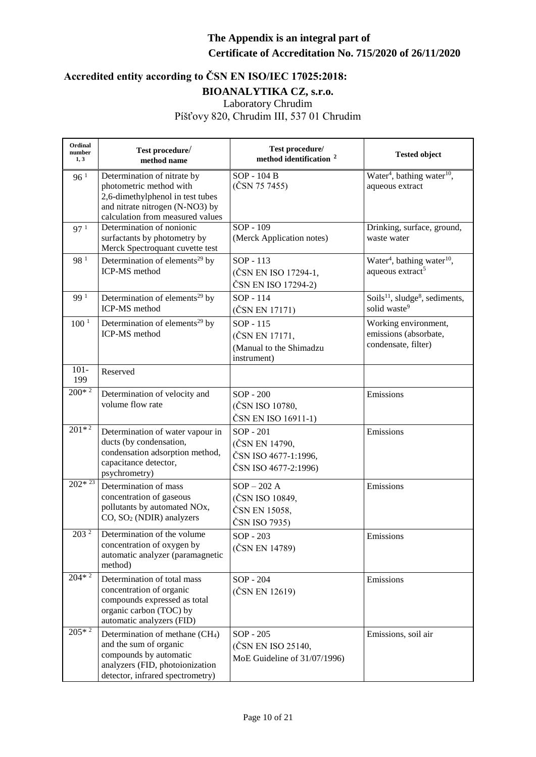| Ordinal<br>number<br>1, 3 | Test procedure/<br>method name                                                                                                                                         | Test procedure/<br>method identification <sup>2</sup>                       | <b>Tested object</b>                                                               |
|---------------------------|------------------------------------------------------------------------------------------------------------------------------------------------------------------------|-----------------------------------------------------------------------------|------------------------------------------------------------------------------------|
| 96 <sup>1</sup>           | Determination of nitrate by<br>photometric method with<br>2,6-dimethylphenol in test tubes<br>and nitrate nitrogen (N-NO3) by<br>calculation from measured values      | SOP - 104 B<br>(ČSN 75 7455)                                                | Water <sup>4</sup> , bathing water <sup>10</sup> ,<br>aqueous extract              |
| 97 <sup>1</sup>           | Determination of nonionic<br>surfactants by photometry by<br>Merck Spectroquant cuvette test                                                                           | SOP - 109<br>(Merck Application notes)                                      | Drinking, surface, ground,<br>waste water                                          |
| 98 <sup>1</sup>           | Determination of elements <sup>29</sup> by<br>ICP-MS method                                                                                                            | SOP - 113<br>(ČSN EN ISO 17294-1,<br>ČSN EN ISO 17294-2)                    | Water <sup>4</sup> , bathing water <sup>10</sup> ,<br>aqueous extract <sup>5</sup> |
| 99 1                      | Determination of elements <sup>29</sup> by<br>ICP-MS method                                                                                                            | SOP - 114<br>(ČSN EN 17171)                                                 | Soils $^{11}$ , sludge <sup>8</sup> , sediments,<br>solid waste <sup>9</sup>       |
| 100 <sup>1</sup>          | Determination of elements <sup>29</sup> by<br><b>ICP-MS</b> method                                                                                                     | SOP - 115<br>(ČSN EN 17171,<br>(Manual to the Shimadzu<br>instrument)       | Working environment,<br>emissions (absorbate,<br>condensate, filter)               |
| $101 -$<br>199            | Reserved                                                                                                                                                               |                                                                             |                                                                                    |
| $200*2$                   | Determination of velocity and<br>volume flow rate                                                                                                                      | SOP - 200<br>(ČSN ISO 10780,<br>ČSN EN ISO 16911-1)                         | Emissions                                                                          |
| $201*2$                   | Determination of water vapour in<br>ducts (by condensation,<br>condensation adsorption method,<br>capacitance detector,<br>psychrometry)                               | SOP - 201<br>(ČSN EN 14790,<br>ČSN ISO 4677-1:1996,<br>ČSN ISO 4677-2:1996) | Emissions                                                                          |
| $202*23$                  | Determination of mass<br>concentration of gaseous<br>pollutants by automated NOx,<br>CO, SO <sub>2</sub> (NDIR) analyzers                                              | $SOP - 202 A$<br>(ČSN ISO 10849,<br>ČSN EN 15058,<br>ČSN ISO 7935)          | Emissions                                                                          |
| 203 <sup>2</sup>          | Determination of the volume<br>concentration of oxygen by<br>automatic analyzer (paramagnetic<br>method)                                                               | SOP - 203<br>(ČSN EN 14789)                                                 | Emissions                                                                          |
| $204*2$                   | Determination of total mass<br>concentration of organic<br>compounds expressed as total<br>organic carbon (TOC) by<br>automatic analyzers (FID)                        | SOP - 204<br>(ČSN EN 12619)                                                 | Emissions                                                                          |
| $205*2$                   | Determination of methane (CH <sub>4</sub> )<br>and the sum of organic<br>compounds by automatic<br>analyzers (FID, photoionization<br>detector, infrared spectrometry) | SOP - 205<br>(ČSN EN ISO 25140,<br>MoE Guideline of 31/07/1996)             | Emissions, soil air                                                                |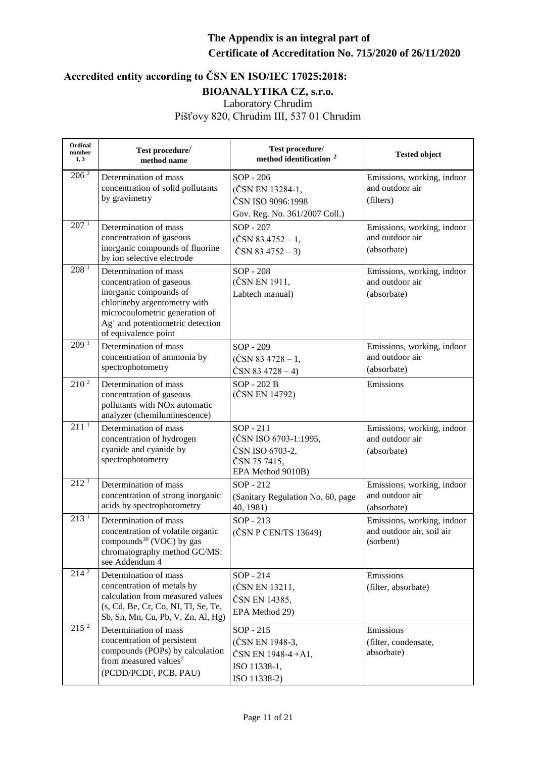| Ordinal<br>number<br>1, 3 | Test procedure/<br>method name                                                                                                                                                                                        | Test procedure/<br>method identification <sup>2</sup>                                      | <b>Tested object</b>                                                 |
|---------------------------|-----------------------------------------------------------------------------------------------------------------------------------------------------------------------------------------------------------------------|--------------------------------------------------------------------------------------------|----------------------------------------------------------------------|
| $206^{2}$                 | Determination of mass<br>concentration of solid pollutants<br>by gravimetry                                                                                                                                           | SOP - 206<br>(ČSN EN 13284-1,<br>ČSN ISO 9096:1998<br>Gov. Reg. No. 361/2007 Coll.)        | Emissions, working, indoor<br>and outdoor air<br>(filters)           |
| 207 <sup>1</sup>          | Determination of mass<br>concentration of gaseous<br>inorganic compounds of fluorine<br>by ion selective electrode                                                                                                    | SOP - 207<br>$(\text{ČSN } 83 4752 - 1,$<br>ČSN 83 $4752-3$                                | Emissions, working, indoor<br>and outdoor air<br>(absorbate)         |
| 208 <sup>1</sup>          | Determination of mass<br>concentration of gaseous<br>inorganic compounds of<br>chlorineby argentometry with<br>microcoulometric generation of<br>Ag <sup>+</sup> and potentiometric detection<br>of equivalence point | SOP - 208<br>(ČSN EN 1911,<br>Labtech manual)                                              | Emissions, working, indoor<br>and outdoor air<br>(absorbate)         |
| 209 <sup>1</sup>          | Determination of mass<br>concentration of ammonia by<br>spectrophotometry                                                                                                                                             | SOP - 209<br>$(\text{ČSN } 83 \, 4728 - 1,$<br>$\text{ČSN } 83 \, 4728 - 4)$               | Emissions, working, indoor<br>and outdoor air<br>(absorbate)         |
| 210 <sup>2</sup>          | Determination of mass<br>concentration of gaseous<br>pollutants with NO <sub>x</sub> automatic<br>analyzer (chemiluminescence)                                                                                        | SOP - 202 B<br>(ČSN EN 14792)                                                              | Emissions                                                            |
| 211 <sup>1</sup>          | Determination of mass<br>concentration of hydrogen<br>cyanide and cyanide by<br>spectrophotometry                                                                                                                     | SOP - 211<br>(ČSN ISO 6703-1:1995,<br>ČSN ISO 6703-2,<br>ČSN 75 7415,<br>EPA Method 9010B) | Emissions, working, indoor<br>and outdoor air<br>(absorbate)         |
| 212 <sup>1</sup>          | Determination of mass<br>concentration of strong inorganic<br>acids by spectrophotometry                                                                                                                              | SOP - 212<br>(Sanitary Regulation No. 60, page<br>40, 1981)                                | Emissions, working, indoor<br>and outdoor air<br>(absorbate)         |
| 213 <sup>1</sup>          | Determination of mass<br>concentration of volatile organic<br>compounds <sup>30</sup> (VOC) by gas<br>chromatography method GC/MS:<br>see Addendum 4                                                                  | $SOP - 213$<br>(ČSN P CEN/TS 13649)                                                        | Emissions, working, indoor<br>and outdoor air, soil air<br>(sorbent) |
| $21\overline{4^2}$        | Determination of mass<br>concentration of metals by<br>calculation from measured values<br>(s, Cd, Be, Cr, Co, NI, Tl, Se, Te,<br>Sb, Sn, Mn, Cu, Pb, V, Zn, Al, Hg)                                                  | SOP - 214<br>(ČSN EN 13211,<br>ČSN EN 14385,<br>EPA Method 29)                             | Emissions<br>(filter, absorbate)                                     |
| 215 <sup>2</sup>          | Determination of mass<br>concentration of persistent<br>compounds (POPs) by calculation<br>from measured values <sup>7</sup><br>(PCDD/PCDF, PCB, PAU)                                                                 | SOP - 215<br>(ČSN EN 1948-3,<br>ČSN EN 1948-4 + A1,<br>ISO 11338-1,<br>ISO 11338-2)        | Emissions<br>(filter, condensate,<br>absorbate)                      |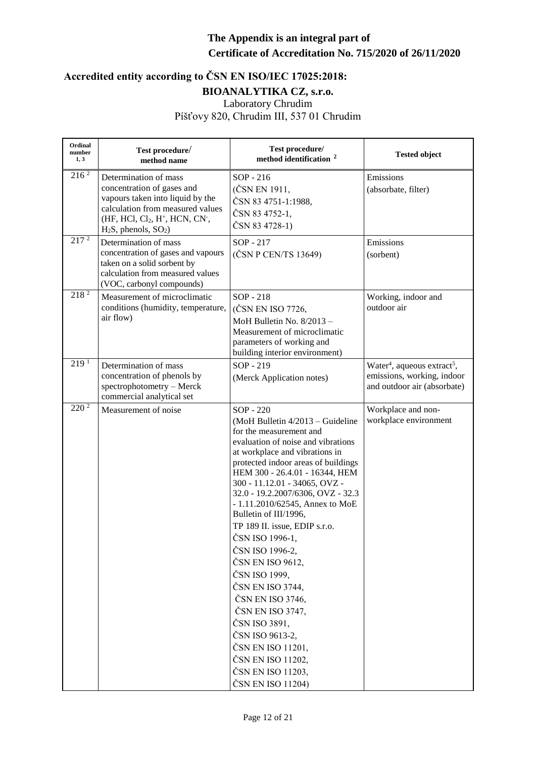| Ordinal<br>number<br>1, 3 | Test procedure/<br>method name                                                                                                                                                                                                   | Test procedure/<br>method identification <sup>2</sup>                                                                                                                                                                                                                                                                                                                                                                                                                                                                                                                                                                                                       | <b>Tested object</b>                                                                                             |
|---------------------------|----------------------------------------------------------------------------------------------------------------------------------------------------------------------------------------------------------------------------------|-------------------------------------------------------------------------------------------------------------------------------------------------------------------------------------------------------------------------------------------------------------------------------------------------------------------------------------------------------------------------------------------------------------------------------------------------------------------------------------------------------------------------------------------------------------------------------------------------------------------------------------------------------------|------------------------------------------------------------------------------------------------------------------|
| $216^{2}$                 | Determination of mass<br>concentration of gases and<br>vapours taken into liquid by the<br>calculation from measured values<br>(HF, HCl, Cl <sub>2</sub> , H <sup>+</sup> , HCN, CN <sup>-</sup> ,<br>$H_2S$ , phenols, $SO_2$ ) | SOP - 216<br>(ČSN EN 1911,<br>ČSN 83 4751-1:1988,<br>ČSN 83 4752-1,<br>ČSN 83 4728-1)                                                                                                                                                                                                                                                                                                                                                                                                                                                                                                                                                                       | Emissions<br>(absorbate, filter)                                                                                 |
| $21\overline{7^2}$        | Determination of mass<br>concentration of gases and vapours<br>taken on a solid sorbent by<br>calculation from measured values<br>(VOC, carbonyl compounds)                                                                      | SOP - 217<br>(ČSN P CEN/TS 13649)                                                                                                                                                                                                                                                                                                                                                                                                                                                                                                                                                                                                                           | Emissions<br>(sorbent)                                                                                           |
| $218^{2}$                 | Measurement of microclimatic<br>conditions (humidity, temperature,<br>air flow)                                                                                                                                                  | SOP - 218<br>(ČSN EN ISO 7726,<br>MoH Bulletin No. 8/2013 -<br>Measurement of microclimatic<br>parameters of working and<br>building interior environment)                                                                                                                                                                                                                                                                                                                                                                                                                                                                                                  | Working, indoor and<br>outdoor air                                                                               |
| $2\overline{19^1}$        | Determination of mass<br>concentration of phenols by<br>spectrophotometry - Merck<br>commercial analytical set                                                                                                                   | SOP - 219<br>(Merck Application notes)                                                                                                                                                                                                                                                                                                                                                                                                                                                                                                                                                                                                                      | Water <sup>4</sup> , aqueous extract <sup>5</sup> ,<br>emissions, working, indoor<br>and outdoor air (absorbate) |
| 220 <sup>2</sup>          | Measurement of noise                                                                                                                                                                                                             | SOP - 220<br>(MoH Bulletin 4/2013 - Guideline<br>for the measurement and<br>evaluation of noise and vibrations<br>at workplace and vibrations in<br>protected indoor areas of buildings<br>HEM 300 - 26.4.01 - 16344, HEM<br>300 - 11.12.01 - 34065, OVZ -<br>32.0 - 19.2.2007/6306, OVZ - 32.3<br>- 1.11.2010/62545, Annex to MoE<br>Bulletin of III/1996,<br>TP 189 II. issue, EDIP s.r.o.<br>ČSN ISO 1996-1,<br>ČSN ISO 1996-2,<br>ČSN EN ISO 9612,<br>ČSN ISO 1999,<br>ČSN EN ISO 3744,<br>ČSN EN ISO 3746,<br>ČSN EN ISO 3747,<br>ČSN ISO 3891.<br>ČSN ISO 9613-2,<br>ČSN EN ISO 11201,<br>ČSN EN ISO 11202,<br>ČSN EN ISO 11203,<br>ČSN EN ISO 11204) | Workplace and non-<br>workplace environment                                                                      |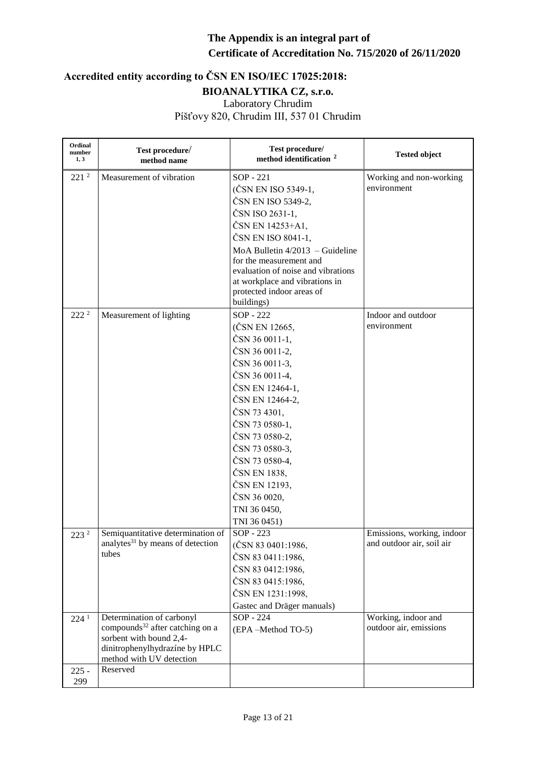| Ordinal<br>number<br>1, 3   | Test procedure/<br>method name                                                                                                                                                | Test procedure/<br>method identification <sup>2</sup>                                                                                                                                                                                                                                                              | <b>Tested object</b>                                    |
|-----------------------------|-------------------------------------------------------------------------------------------------------------------------------------------------------------------------------|--------------------------------------------------------------------------------------------------------------------------------------------------------------------------------------------------------------------------------------------------------------------------------------------------------------------|---------------------------------------------------------|
| $221^2$                     | Measurement of vibration                                                                                                                                                      | SOP - 221<br>(ČSN EN ISO 5349-1,<br>ČSN EN ISO 5349-2,<br>ČSN ISO 2631-1,<br>ČSN EN 14253+A1,<br>ČSN EN ISO 8041-1,<br>MoA Bulletin $4/2013$ – Guideline<br>for the measurement and<br>evaluation of noise and vibrations<br>at workplace and vibrations in<br>protected indoor areas of<br>buildings)             | Working and non-working<br>environment                  |
| 222 <sup>2</sup>            | Measurement of lighting                                                                                                                                                       | SOP - 222<br>(ČSN EN 12665,<br>ČSN 36 0011-1,<br>ČSN 36 0011-2,<br>ČSN 36 0011-3,<br>ČSN 36 0011-4,<br>ČSN EN 12464-1,<br>ČSN EN 12464-2,<br>ČSN 73 4301,<br>ČSN 73 0580-1,<br>ČSN 73 0580-2,<br>ČSN 73 0580-3,<br>ČSN 73 0580-4,<br>ČSN EN 1838,<br>ČSN EN 12193,<br>ČSN 36 0020,<br>TNI 36 0450,<br>TNI 36 0451) | Indoor and outdoor<br>environment                       |
| 223 <sup>2</sup>            | Semiquantitative determination of<br>analytes <sup>31</sup> by means of detection<br>tubes                                                                                    | SOP - 223<br>(ČSN 83 0401:1986,<br>ČSN 83 0411:1986,<br>ČSN 83 0412:1986,<br>ČSN 83 0415:1986,<br>ČSN EN 1231:1998,<br>Gastec and Dräger manuals)                                                                                                                                                                  | Emissions, working, indoor<br>and outdoor air, soil air |
| 224 <sup>1</sup><br>$225 -$ | Determination of carbonyl<br>compounds <sup>32</sup> after catching on a<br>sorbent with bound 2,4-<br>dinitrophenylhydrazíne by HPLC<br>method with UV detection<br>Reserved | SOP - 224<br>(EPA-Method TO-5)                                                                                                                                                                                                                                                                                     | Working, indoor and<br>outdoor air, emissions           |
| 299                         |                                                                                                                                                                               |                                                                                                                                                                                                                                                                                                                    |                                                         |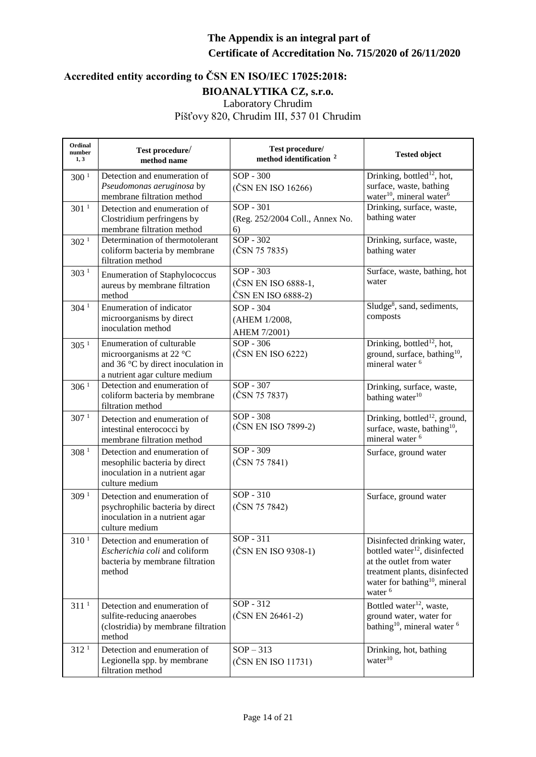| Ordinal<br>number<br>1, 3 | Test procedure/<br>method name                                                                                               | Test procedure/<br>method identification <sup>2</sup>    | <b>Tested object</b>                                                                                                                                                                                     |
|---------------------------|------------------------------------------------------------------------------------------------------------------------------|----------------------------------------------------------|----------------------------------------------------------------------------------------------------------------------------------------------------------------------------------------------------------|
| 300 <sup>1</sup>          | Detection and enumeration of<br>Pseudomonas aeruginosa by<br>membrane filtration method                                      | $SOP - 300$<br>(ČSN EN ISO 16266)                        | Drinking, bottled <sup>12</sup> , hot,<br>surface, waste, bathing<br>water <sup>10</sup> , mineral water <sup>6</sup>                                                                                    |
| 301 <sup>1</sup>          | Detection and enumeration of<br>Clostridium perfringens by<br>membrane filtration method                                     | SOP - 301<br>(Reg. 252/2004 Coll., Annex No.<br>6)       | Drinking, surface, waste,<br>bathing water                                                                                                                                                               |
| 302 <sup>1</sup>          | Determination of thermotolerant<br>coliform bacteria by membrane<br>filtration method                                        | $SOP - 302$<br>(ČSN 75 7835)                             | Drinking, surface, waste,<br>bathing water                                                                                                                                                               |
| 303 <sup>1</sup>          | <b>Enumeration of Staphylococcus</b><br>aureus by membrane filtration<br>method                                              | $SOP - 303$<br>(ČSN EN ISO 6888-1,<br>ČSN EN ISO 6888-2) | Surface, waste, bathing, hot<br>water                                                                                                                                                                    |
| 304 <sup>1</sup>          | Enumeration of indicator<br>microorganisms by direct<br>inoculation method                                                   | SOP - 304<br>(AHEM 1/2008,<br>AHEM 7/2001)               | Sludge <sup>8</sup> , sand, sediments,<br>composts                                                                                                                                                       |
| 305 <sup>1</sup>          | Enumeration of culturable<br>microorganisms at 22 °C<br>and 36 °C by direct inoculation in<br>a nutrient agar culture medium | $SOP - 306$<br>(ČSN EN ISO 6222)                         | Drinking, bottled <sup>12</sup> , hot,<br>ground, surface, bathing <sup>10</sup> ,<br>mineral water <sup>6</sup>                                                                                         |
| 306 <sup>1</sup>          | Detection and enumeration of<br>coliform bacteria by membrane<br>filtration method                                           | $SOP - 307$<br>(ČSN 75 7837)                             | Drinking, surface, waste,<br>bathing water <sup>10</sup>                                                                                                                                                 |
| 307 <sup>1</sup>          | Detection and enumeration of<br>intestinal enterococci by<br>membrane filtration method                                      | $SOP - 308$<br>(ČSN EN ISO 7899-2)                       | Drinking, bottled <sup>12</sup> , ground,<br>surface, waste, bathing <sup>10</sup> ,<br>mineral water <sup>6</sup>                                                                                       |
| 308 <sup>1</sup>          | Detection and enumeration of<br>mesophilic bacteria by direct<br>inoculation in a nutrient agar<br>culture medium            | $SOP - 309$<br>(ČSN 75 7841)                             | Surface, ground water                                                                                                                                                                                    |
| 309 <sup>1</sup>          | Detection and enumeration of<br>psychrophilic bacteria by direct<br>inoculation in a nutrient agar<br>culture medium         | $SOP - 310$<br>(ČSN 75 7842)                             | Surface, ground water                                                                                                                                                                                    |
| 310 <sup>1</sup>          | Detection and enumeration of<br>Escherichia coli and coliform<br>bacteria by membrane filtration<br>method                   | SOP - 311<br>(ČSN EN ISO 9308-1)                         | Disinfected drinking water,<br>bottled water <sup>12</sup> , disinfected<br>at the outlet from water<br>treatment plants, disinfected<br>water for bathing <sup>10</sup> , mineral<br>water <sup>6</sup> |
| 311 <sup>1</sup>          | Detection and enumeration of<br>sulfite-reducing anaerobes<br>(clostridia) by membrane filtration<br>method                  | SOP - 312<br>(ČSN EN 26461-2)                            | Bottled water <sup>12</sup> , waste,<br>ground water, water for<br>bathing <sup>10</sup> , mineral water <sup>6</sup>                                                                                    |
| 312 <sup>1</sup>          | Detection and enumeration of<br>Legionella spp. by membrane<br>filtration method                                             | $SOP - 313$<br>(ČSN EN ISO 11731)                        | Drinking, hot, bathing<br>water <sup>10</sup>                                                                                                                                                            |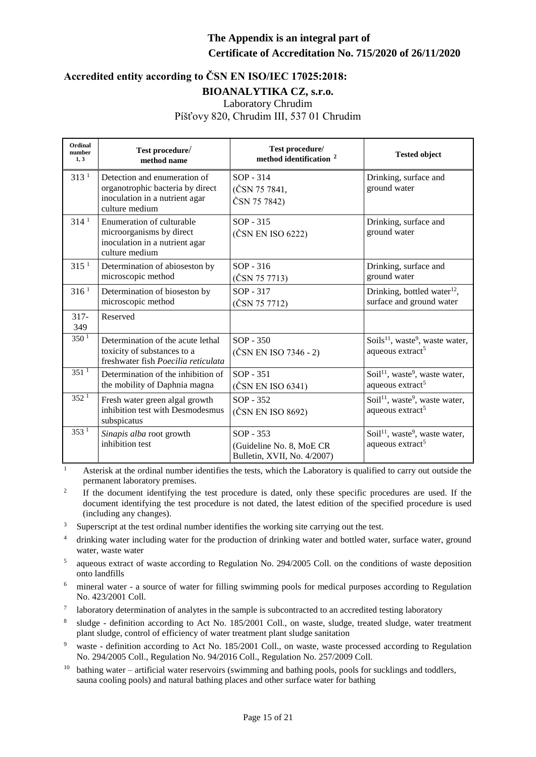#### **Accredited entity according to ČSN EN ISO/IEC 17025:2018: BIOANALYTIKA CZ, s.r.o.** Laboratory Chrudim Píšťovy 820, Chrudim III, 537 01 Chrudim

| Ordinal<br>number<br>1, 3 | Test procedure/<br>method name                                                                                       | Test procedure/<br>method identification <sup>2</sup>                  | <b>Tested object</b>                                                                    |
|---------------------------|----------------------------------------------------------------------------------------------------------------------|------------------------------------------------------------------------|-----------------------------------------------------------------------------------------|
| 313 <sup>1</sup>          | Detection and enumeration of<br>organotrophic bacteria by direct<br>inoculation in a nutrient agar<br>culture medium | $SOP - 314$<br>(ČSN 75 7841,<br>ČSN 75 7842)                           | Drinking, surface and<br>ground water                                                   |
| 314 <sup>1</sup>          | Enumeration of culturable<br>microorganisms by direct<br>inoculation in a nutrient agar<br>culture medium            | $SOP - 315$<br>(ČSN EN ISO 6222)                                       | Drinking, surface and<br>ground water                                                   |
| 315 <sup>1</sup>          | Determination of abioseston by<br>microscopic method                                                                 | SOP - 316<br>(ČSN 75 7713)                                             | Drinking, surface and<br>ground water                                                   |
| 316 <sup>1</sup>          | Determination of bioseston by<br>microscopic method                                                                  | SOP - 317<br>(ČSN 75 7712)                                             | Drinking, bottled water <sup>12</sup> ,<br>surface and ground water                     |
| $317 -$<br>349            | Reserved                                                                                                             |                                                                        |                                                                                         |
| 350 <sup>1</sup>          | Determination of the acute lethal<br>toxicity of substances to a<br>freshwater fish Poecilia reticulata              | $SOP - 350$<br>(ČSN EN ISO 7346 - 2)                                   | Soils <sup>11</sup> , waste <sup>9</sup> , waste water,<br>aqueous extract <sup>5</sup> |
| 351 <sup>1</sup>          | Determination of the inhibition of<br>the mobility of Daphnia magna                                                  | $SOP - 351$<br>(ČSN EN ISO 6341)                                       | Soil <sup>11</sup> , waste <sup>9</sup> , waste water,<br>aqueous extract <sup>5</sup>  |
| 352 <sup>1</sup>          | Fresh water green algal growth<br>inhibition test with Desmodesmus<br>subspicatus                                    | SOP - 352<br>(ČSN EN ISO 8692)                                         | Soil <sup>11</sup> , waste <sup>9</sup> , waste water,<br>aqueous extract <sup>5</sup>  |
| 353 <sup>1</sup>          | Sinapis alba root growth<br>inhibition test                                                                          | $SOP - 353$<br>(Guideline No. 8, MoE CR<br>Bulletin, XVII, No. 4/2007) | Soil <sup>11</sup> , waste <sup>9</sup> , waste water,<br>aqueous extract <sup>5</sup>  |

<sup>1</sup> Asterisk at the ordinal number identifies the tests, which the Laboratory is qualified to carry out outside the permanent laboratory premises.

2 If the document identifying the test procedure is dated, only these specific procedures are used. If the document identifying the test procedure is not dated, the latest edition of the specified procedure is used (including any changes).

- <sup>3</sup> Superscript at the test ordinal number identifies the working site carrying out the test.
- <sup>4</sup> drinking water including water for the production of drinking water and bottled water, surface water, ground water, waste water
- 5 aqueous extract of waste according to Regulation No. 294/2005 Coll. on the conditions of waste deposition onto landfills
- <sup>6</sup> mineral water a source of water for filling swimming pools for medical purposes according to Regulation No. 423/2001 Coll.
- <sup>7</sup> laboratory determination of analytes in the sample is subcontracted to an accredited testing laboratory
- <sup>8</sup> sludge definition according to Act No. 185/2001 Coll., on waste, sludge, treated sludge, water treatment plant sludge, control of efficiency of water treatment plant sludge sanitation
- <sup>9</sup> waste definition according to Act No. 185/2001 Coll., on waste, waste processed according to Regulation No. 294/2005 Coll., Regulation No. 94/2016 Coll., Regulation No. 257/2009 Coll.
- $10$  bathing water artificial water reservoirs (swimming and bathing pools, pools for sucklings and toddlers, sauna cooling pools) and natural bathing places and other surface water for bathing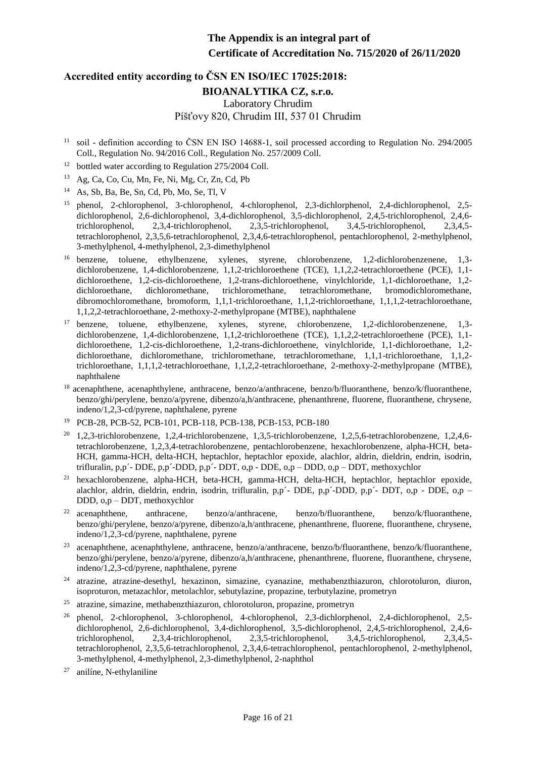# **Accredited entity according to ČSN EN ISO/IEC 17025:2018: BIOANALYTIKA CZ, s.r.o.** Laboratory Chrudim Píšťovy 820, Chrudim III, 537 01 Chrudim

- <sup>11</sup> soil definition according to ČSN EN ISO 14688-1, soil processed according to Regulation No. 294/2005 Coll., Regulation No. 94/2016 Coll., Regulation No. 257/2009 Coll.
- $12$  bottled water according to Regulation 275/2004 Coll.
- $13$  Ag, Ca, Co, Cu, Mn, Fe, Ni, Mg, Cr, Zn, Cd, Pb

 $14$  As, Sb, Ba, Be, Sn, Cd, Pb, Mo, Se, Tl, V

- <sup>15</sup> phenol, 2-chlorophenol, 3-chlorophenol, 4-chlorophenol, 2,3-dichlorphenol, 2,4-dichlorophenol, 2,5dichlorophenol, 2,6-dichlorophenol, 3,4-dichlorophenol, 3,5-dichlorophenol, 2,4,5-trichlorophenol, 2,4,6 trichlorophenol, 2,3,4-trichlorophenol, 2,3,5-trichlorophenol, 3,4,5-trichlorophenol, 2,3,4,5 tetrachlorophenol, 2,3,5,6-tetrachlorophenol, 2,3,4,6-tetrachlorophenol, pentachlorophenol, 2-methylphenol, 3-methylphenol, 4-methylphenol, 2,3-dimethylphenol
- <sup>16</sup> benzene, toluene, ethylbenzene, xylenes, styrene, chlorobenzene, 1,2-dichlorobenzenene, 1,3dichlorobenzene, 1,4-dichlorobenzene, 1,1,2-trichloroethene (TCE), 1,1,2,2-tetrachloroethene (PCE), 1,1 dichloroethene, 1,2-cis-dichloroethene, 1,2-trans-dichloroethene, vinylchloride, 1,1-dichloroethane, 1,2-dichloroethane, dichloromethane, trichloromethane, tetrachloromethane, bromodichloromethane, dichloroethane, dichloromethane, trichloromethane, tetrachloromethane, bromodichloromethane, dibromochloromethane, bromoform, 1,1,1-trichloroethane, 1,1,2-trichloroethane, 1,1,1,2-tetrachloroethane, 1,1,2,2-tetrachloroethane, 2-methoxy-2-methylpropane (MTBE), naphthalene
- <sup>17</sup> benzene, toluene, ethylbenzene, xylenes, styrene, chlorobenzene, 1,2-dichlorobenzenene, 1,3dichlorobenzene, 1,4-dichlorobenzene, 1,1,2-trichloroethene (TCE), 1,1,2,2-tetrachloroethene (PCE), 1,1 dichloroethene, 1,2-cis-dichloroethene, 1,2-trans-dichloroethene, vinylchloride, 1,1-dichloroethane, 1,2 dichloroethane, dichloromethane, trichloromethane, tetrachloromethane, 1,1,1-trichloroethane, 1,1,2 trichloroethane, 1,1,1,2-tetrachloroethane, 1,1,2,2-tetrachloroethane, 2-methoxy-2-methylpropane (MTBE), naphthalene
- <sup>18</sup> acenaphthene, acenaphthylene, anthracene, benzo/a/anthracene, benzo/b/fluoranthene, benzo/k/fluoranthene, benzo/ghi/perylene, benzo/a/pyrene, dibenzo/a,h/anthracene, phenanthrene, fluorene, fluoranthene, chrysene, indeno/1,2,3-cd/pyrene, naphthalene, pyrene
- <sup>19</sup> PCB-28, PCB-52, PCB-101, PCB-118, PCB-138, PCB-153, PCB-180
- <sup>20</sup> 1,2,3-trichlorobenzene, 1,2,4-trichlorobenzene, 1,3,5-trichlorobenzene, 1,2,5,6-tetrachlorobenzene, 1,2,4,6tetrachlorobenzene, 1,2,3,4-tetrachlorobenzene, pentachlorobenzene, hexachlorobenzene, alpha-HCH, beta-HCH, gamma-HCH, delta-HCH, heptachlor, heptachlor epoxide, alachlor, aldrin, dieldrin, endrin, isodrin, trifluralin, p,p´- DDE, p,p´-DDD, p,p´- DDT, o,p - DDE, o,p – DDD, o,p – DDT, methoxychlor
- <sup>21</sup> hexachlorobenzene, alpha-HCH, beta-HCH, gamma-HCH, delta-HCH, heptachlor, heptachlor epoxide, alachlor, aldrin, dieldrin, endrin, isodrin, trifluralin, p,p´- DDE, p,p´-DDD, p,p´- DDT, o,p - DDE, o,p – DDD, o,p – DDT, methoxychlor
- <sup>22</sup> acenaphthene, anthracene, benzo/a/anthracene, benzo/b/fluoranthene, benzo/k/fluoranthene, benzo/ghi/perylene, benzo/a/pyrene, dibenzo/a,h/anthracene, phenanthrene, fluorene, fluoranthene, chrysene, indeno/1,2,3-cd/pyrene, naphthalene, pyrene
- <sup>23</sup> acenaphthene, acenaphthylene, anthracene, benzo/a/anthracene, benzo/b/fluoranthene, benzo/k/fluoranthene, benzo/ghi/perylene, benzo/a/pyrene, dibenzo/a,h/anthracene, phenanthrene, fluorene, fluoranthene, chrysene, indeno/1,2,3-cd/pyrene, naphthalene, pyrene
- <sup>24</sup> atrazine, atrazine-desethyl, hexazinon, simazine, cyanazine, methabenzthiazuron, chlorotoluron, diuron, isoproturon, metazachlor, metolachlor, sebutylazine, propazine, terbutylazine, prometryn
- <sup>25</sup> atrazine, simazine, methabenzthiazuron, chlorotoluron, propazine, prometryn
- $26$  phenol, 2-chlorophenol, 3-chlorophenol, 4-chlorophenol, 2,3-dichlorphenol, 2,4-dichlorophenol, 2,5dichlorophenol, 2,6-dichlorophenol, 3,4-dichlorophenol, 3,5-dichlorophenol, 2,4,5-trichlorophenol, 2,4,6 trichlorophenol, 2,3,4-trichlorophenol, 2,3,5-trichlorophenol, 3,4,5-trichlorophenol, 2,3,4,5 tetrachlorophenol, 2,3,5,6-tetrachlorophenol, 2,3,4,6-tetrachlorophenol, pentachlorophenol, 2-methylphenol, 3-methylphenol, 4-methylphenol, 2,3-dimethylphenol, 2-naphthol
- anilíne, N-ethylaniline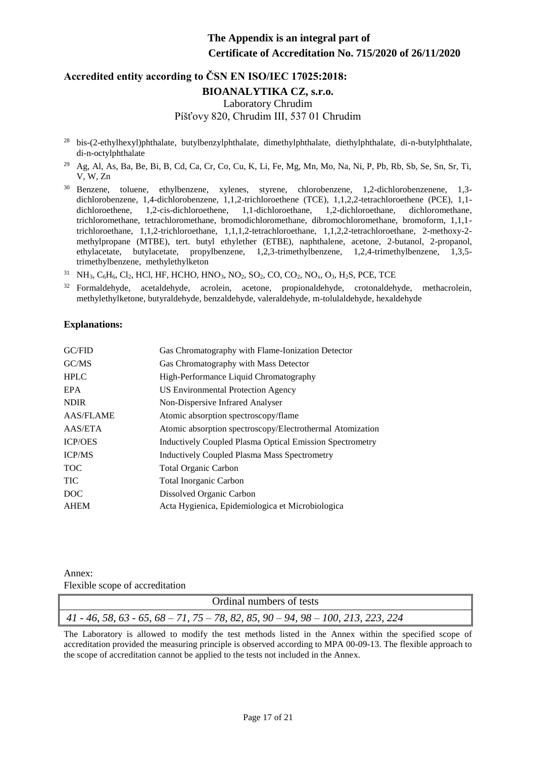# **Accredited entity according to ČSN EN ISO/IEC 17025:2018: BIOANALYTIKA CZ, s.r.o.** Laboratory Chrudim Píšťovy 820, Chrudim III, 537 01 Chrudim

- <sup>28</sup> bis-(2-ethylhexyl)phthalate, butylbenzylphthalate, dimethylphthalate, diethylphthalate, di-n-butylphthalate, di-n-octylphthalate
- <sup>29</sup> Ag, Al, As, Ba, Be, Bi, B, Cd, Ca, Cr, Co, Cu, K, Li, Fe, Mg, Mn, Mo, Na, Ni, P, Pb, Rb, Sb, Se, Sn, Sr, Ti, V, W, Zn
- <sup>30</sup> Benzene, toluene, ethylbenzene, xylenes, styrene, chlorobenzene, 1,2-dichlorobenzenene, 1,3dichlorobenzene, 1,4-dichlorobenzene, 1,1,2-trichloroethene (TCE), 1,1,2,2-tetrachloroethene (PCE), 1,1 dichloroethene, 1,2-cis-dichloroethene, 1,1-dichloroethane, 1,2-dichloroethane, dichloromethane, trichloromethane, tetrachloromethane, bromodichloromethane, dibromochloromethane, bromoform, 1,1,1 trichloroethane, 1,1,2-trichloroethane, 1,1,1,2-tetrachloroethane, 1,1,2,2-tetrachloroethane, 2-methoxy-2 methylpropane (MTBE), tert. butyl ethylether (ETBE), naphthalene, acetone, 2-butanol, 2-propanol, ethylacetate, butylacetate, propylbenzene, 1,2,3-trimethylbenzene, 1,2,4-trimethylbenzene, 1,3,5 trimethylbenzene, methylethylketon
- <sup>31</sup> NH<sub>3</sub>, C<sub>6</sub>H<sub>6</sub>, Cl<sub>2</sub>, HCl, HF, HCHO, HNO<sub>3</sub>, NO<sub>2</sub>, SO<sub>2</sub>, CO, CO<sub>2</sub>, NO<sub>x</sub>, O<sub>3</sub>, H<sub>2</sub>S, PCE, TCE
- <sup>32</sup> Formaldehyde, acetaldehyde, acrolein, acetone, propionaldehyde, crotonaldehyde, methacrolein, methylethylketone, butyraldehyde, benzaldehyde, valeraldehyde, m-tolulaldehyde, hexaldehyde

#### **Explanations:**

| GCFID            | Gas Chromatography with Flame-Ionization Detector               |
|------------------|-----------------------------------------------------------------|
| GC/MS            | Gas Chromatography with Mass Detector                           |
| <b>HPLC</b>      | High-Performance Liquid Chromatography                          |
| EPA              | US Environmental Protection Agency                              |
| <b>NDIR</b>      | Non-Dispersive Infrared Analyser                                |
| <b>AAS/FLAME</b> | Atomic absorption spectroscopy/flame                            |
| AAS/ETA          | Atomic absorption spectroscopy/Electrothermal Atomization       |
| <b>ICP/OES</b>   | <b>Inductively Coupled Plasma Optical Emission Spectrometry</b> |
| <b>ICP/MS</b>    | <b>Inductively Coupled Plasma Mass Spectrometry</b>             |
| <b>TOC</b>       | <b>Total Organic Carbon</b>                                     |
| <b>TIC</b>       | <b>Total Inorganic Carbon</b>                                   |
| DOC              | Dissolved Organic Carbon                                        |
| <b>AHEM</b>      | Acta Hygienica, Epidemiologica et Microbiologica                |
|                  |                                                                 |

Annex: Flexible scope of accreditation

| Ordinal numbers of tests                                                           |  |
|------------------------------------------------------------------------------------|--|
| $41 - 46, 58, 63 - 65, 68 - 71, 75 - 78, 82, 85, 90 - 94, 98 - 100, 213, 223, 224$ |  |

The Laboratory is allowed to modify the test methods listed in the Annex within the specified scope of accreditation provided the measuring principle is observed according to MPA 00-09-13. The flexible approach to the scope of accreditation cannot be applied to the tests not included in the Annex.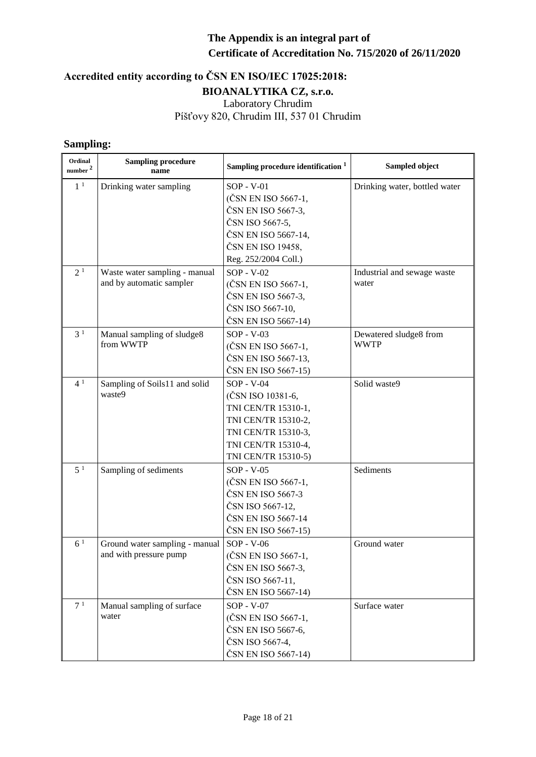# **Accredited entity according to ČSN EN ISO/IEC 17025:2018: BIOANALYTIKA CZ, s.r.o.** Laboratory Chrudim Píšťovy 820, Chrudim III, 537 01 Chrudim

#### **Sampling:**

| Ordinal<br>number <sup>2</sup> | <b>Sampling procedure</b><br>name                         | Sampling procedure identification <sup>1</sup>                                                                                                       | Sampled object                        |
|--------------------------------|-----------------------------------------------------------|------------------------------------------------------------------------------------------------------------------------------------------------------|---------------------------------------|
| 1 <sup>1</sup>                 | Drinking water sampling                                   | SOP - V-01<br>(ČSN EN ISO 5667-1,<br>ČSN EN ISO 5667-3,<br>ČSN ISO 5667-5,<br>ČSN EN ISO 5667-14,<br>ČSN EN ISO 19458,<br>Reg. 252/2004 Coll.)       | Drinking water, bottled water         |
| 2 <sup>1</sup>                 | Waste water sampling - manual<br>and by automatic sampler | $SOP - V - 02$<br>(ČSN EN ISO 5667-1,<br>ČSN EN ISO 5667-3,<br>ČSN ISO 5667-10,<br>ČSN EN ISO 5667-14)                                               | Industrial and sewage waste<br>water  |
| 3 <sup>1</sup>                 | Manual sampling of sludge8<br>from WWTP                   | $SOP - V-03$<br>(ČSN EN ISO 5667-1,<br>ČSN EN ISO 5667-13,<br>ČSN EN ISO 5667-15)                                                                    | Dewatered sludge8 from<br><b>WWTP</b> |
| 4 <sup>1</sup>                 | Sampling of Soils11 and solid<br>waste9                   | $SOP - V-04$<br>(ČSN ISO 10381-6,<br>TNI CEN/TR 15310-1,<br>TNI CEN/TR 15310-2,<br>TNI CEN/TR 15310-3,<br>TNI CEN/TR 15310-4,<br>TNI CEN/TR 15310-5) | Solid waste9                          |
| 5 <sup>1</sup>                 | Sampling of sediments                                     | $SOP - V-05$<br>(ČSN EN ISO 5667-1,<br>ČSN EN ISO 5667-3<br>ČSN ISO 5667-12,<br>ČSN EN ISO 5667-14<br>ČSN EN ISO 5667-15)                            | Sediments                             |
| 6 <sup>1</sup>                 | Ground water sampling - manual<br>and with pressure pump  | $SOP - V-06$<br>(ČSN EN ISO 5667-1,<br>ČSN EN ISO 5667-3,<br>ČSN ISO 5667-11,<br>ČSN EN ISO 5667-14)                                                 | Ground water                          |
| 7 <sup>1</sup>                 | Manual sampling of surface<br>water                       | $SOP - V - 07$<br>(ČSN EN ISO 5667-1,<br>ČSN EN ISO 5667-6,<br>ČSN ISO 5667-4,<br>ČSN EN ISO 5667-14)                                                | Surface water                         |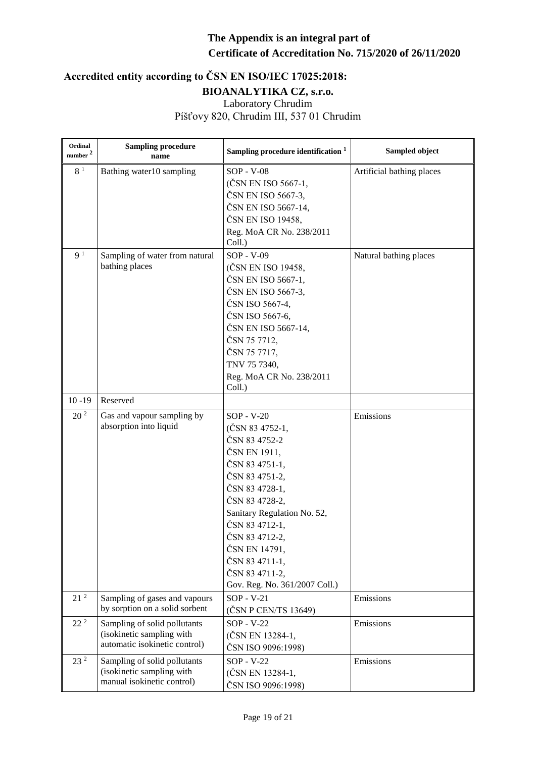| Ordinal<br>number <sup>2</sup> | <b>Sampling procedure</b><br>name                          | Sampling procedure identification <sup>1</sup> | Sampled object            |
|--------------------------------|------------------------------------------------------------|------------------------------------------------|---------------------------|
| 8 <sup>1</sup>                 | Bathing water10 sampling                                   | SOP - V-08                                     | Artificial bathing places |
|                                |                                                            | (ČSN EN ISO 5667-1,                            |                           |
|                                |                                                            | ČSN EN ISO 5667-3,                             |                           |
|                                |                                                            | ČSN EN ISO 5667-14,                            |                           |
|                                |                                                            | ČSN EN ISO 19458,                              |                           |
|                                |                                                            | Reg. MoA CR No. 238/2011                       |                           |
|                                |                                                            | Coll.)                                         |                           |
| 9 <sup>1</sup>                 | Sampling of water from natural                             | SOP - V-09                                     | Natural bathing places    |
|                                | bathing places                                             | (ČSN EN ISO 19458,                             |                           |
|                                |                                                            | ČSN EN ISO 5667-1,                             |                           |
|                                |                                                            | ČSN EN ISO 5667-3,                             |                           |
|                                |                                                            | ČSN ISO 5667-4,                                |                           |
|                                |                                                            | ČSN ISO 5667-6,                                |                           |
|                                |                                                            | ČSN EN ISO 5667-14,                            |                           |
|                                |                                                            | ČSN 75 7712,                                   |                           |
|                                |                                                            | ČSN 75 7717,                                   |                           |
|                                |                                                            | TNV 75 7340,                                   |                           |
|                                |                                                            | Reg. MoA CR No. 238/2011                       |                           |
|                                |                                                            | Coll.)                                         |                           |
| $10 - 19$                      | Reserved                                                   |                                                |                           |
| 20 <sup>2</sup>                | Gas and vapour sampling by                                 | $SOP - V-20$                                   | Emissions                 |
|                                | absorption into liquid                                     | (ČSN 83 4752-1,                                |                           |
|                                |                                                            | ČSN 83 4752-2                                  |                           |
|                                |                                                            | ČSN EN 1911,                                   |                           |
|                                |                                                            | ČSN 83 4751-1,                                 |                           |
|                                |                                                            | ČSN 83 4751-2,                                 |                           |
|                                |                                                            | ČSN 83 4728-1,                                 |                           |
|                                |                                                            | ČSN 83 4728-2,                                 |                           |
|                                |                                                            | Sanitary Regulation No. 52,                    |                           |
|                                |                                                            | ČSN 83 4712-1,                                 |                           |
|                                |                                                            | ČSN 83 4712-2,                                 |                           |
|                                |                                                            | ČSN EN 14791,                                  |                           |
|                                |                                                            | ČSN 83 4711-1,                                 |                           |
|                                |                                                            | ČSN 83 4711-2,                                 |                           |
|                                |                                                            | Gov. Reg. No. 361/2007 Coll.)                  |                           |
| 21 <sup>2</sup>                | Sampling of gases and vapours                              | $SOP - V-21$                                   | Emissions                 |
|                                | by sorption on a solid sorbent                             | (ČSN P CEN/TS 13649)                           |                           |
| $22^{2}$                       | Sampling of solid pollutants                               | $SOP - V-22$                                   | Emissions                 |
|                                | (isokinetic sampling with<br>automatic isokinetic control) | (ČSN EN 13284-1,                               |                           |
|                                |                                                            | ČSN ISO 9096:1998)                             |                           |
| 23 <sup>2</sup>                | Sampling of solid pollutants                               | $SOP - V-22$                                   | Emissions                 |
|                                | (isokinetic sampling with                                  | (ČSN EN 13284-1,                               |                           |
|                                | manual isokinetic control)                                 | ČSN ISO 9096:1998)                             |                           |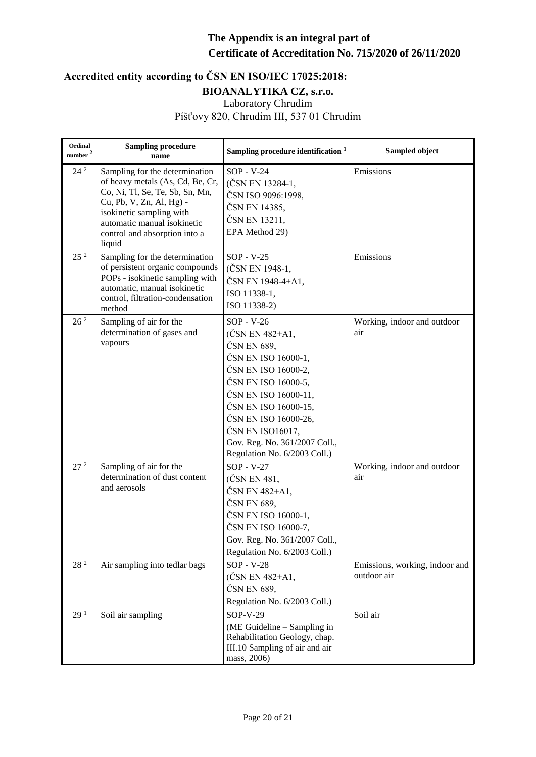| Ordinal<br>number <sup>2</sup> | <b>Sampling procedure</b><br>name                                                                                                                                                                                                       | Sampling procedure identification <sup>1</sup>                                                                                                                                                                                                                                   | Sampled object                                |
|--------------------------------|-----------------------------------------------------------------------------------------------------------------------------------------------------------------------------------------------------------------------------------------|----------------------------------------------------------------------------------------------------------------------------------------------------------------------------------------------------------------------------------------------------------------------------------|-----------------------------------------------|
| $24^2$                         | Sampling for the determination<br>of heavy metals (As, Cd, Be, Cr,<br>Co, Ni, Tl, Se, Te, Sb, Sn, Mn,<br>Cu, Pb, V, Zn, Al, Hg) -<br>isokinetic sampling with<br>automatic manual isokinetic<br>control and absorption into a<br>liquid | SOP - V-24<br>(ČSN EN 13284-1,<br>ČSN ISO 9096:1998,<br>ČSN EN 14385,<br>ČSN EN 13211,<br>EPA Method 29)                                                                                                                                                                         | Emissions                                     |
| 25 <sup>2</sup>                | Sampling for the determination<br>of persistent organic compounds<br>POPs - isokinetic sampling with<br>automatic, manual isokinetic<br>control, filtration-condensation<br>method                                                      | $SOP - V-25$<br>(ČSN EN 1948-1,<br>ČSN EN 1948-4+A1,<br>ISO 11338-1,<br>ISO 11338-2)                                                                                                                                                                                             | Emissions                                     |
| 26 <sup>2</sup>                | Sampling of air for the<br>determination of gases and<br>vapours                                                                                                                                                                        | $SOP - V-26$<br>(ČSN EN 482+A1,<br>ČSN EN 689,<br>ČSN EN ISO 16000-1,<br>ČSN EN ISO 16000-2,<br>ČSN EN ISO 16000-5,<br>ČSN EN ISO 16000-11,<br>ČSN EN ISO 16000-15,<br>ČSN EN ISO 16000-26,<br>ČSN EN ISO16017,<br>Gov. Reg. No. 361/2007 Coll.,<br>Regulation No. 6/2003 Coll.) | Working, indoor and outdoor<br>air            |
| 27 <sup>2</sup>                | Sampling of air for the<br>determination of dust content<br>and aerosols                                                                                                                                                                | $SOP - V-27$<br>(ČSN EN 481,<br>ČSN EN 482+A1,<br>ČSN EN 689,<br>ČSN EN ISO 16000-1,<br>ČSN EN ISO 16000-7,<br>Gov. Reg. No. 361/2007 Coll.,<br>Regulation No. 6/2003 Coll.)                                                                                                     | Working, indoor and outdoor<br>air            |
| 28 <sup>2</sup>                | Air sampling into tedlar bags                                                                                                                                                                                                           | $SOP - V-28$<br>(ČSN EN 482+A1,<br>ČSN EN 689,<br>Regulation No. 6/2003 Coll.)                                                                                                                                                                                                   | Emissions, working, indoor and<br>outdoor air |
| 29 <sup>1</sup>                | Soil air sampling                                                                                                                                                                                                                       | SOP-V-29<br>(ME Guideline - Sampling in<br>Rehabilitation Geology, chap.<br>III.10 Sampling of air and air<br>mass, 2006)                                                                                                                                                        | Soil air                                      |